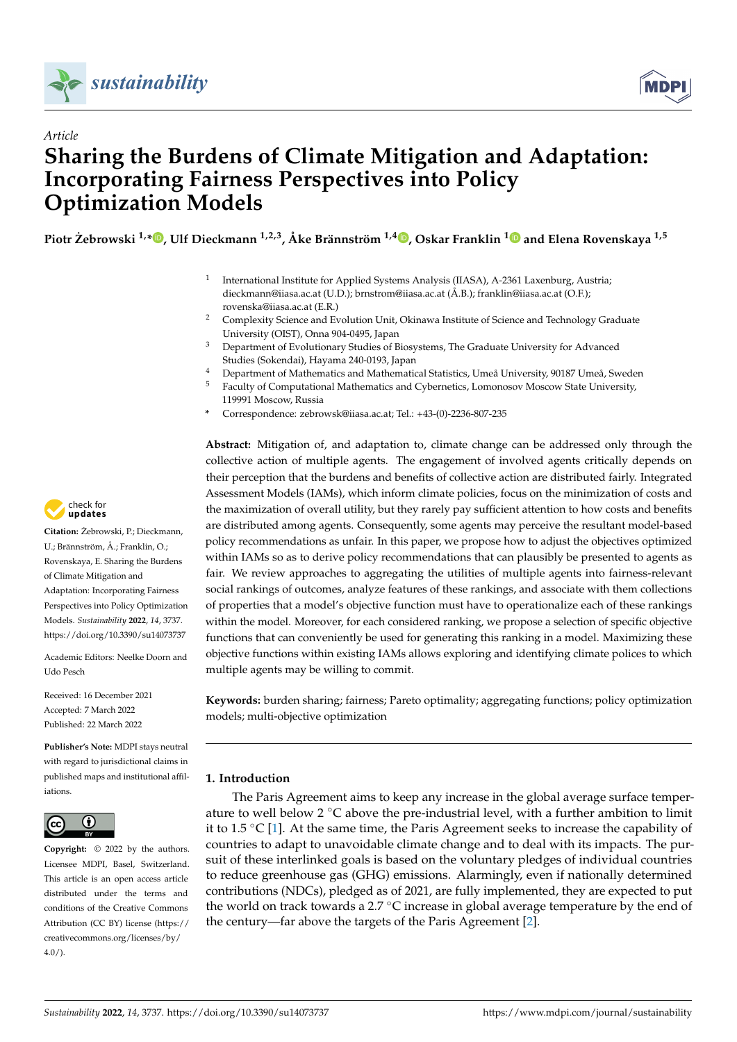



# *Article* **Sharing the Burdens of Climate Mitigation and Adaptation: Incorporating Fairness Perspectives into Policy Optimization Models**

**Piotr Zebrowski ˙ 1,[\\*](https://orcid.org/0000-0001-5283-8049) , Ulf Dieckmann 1,2,3, Åke Brännström 1,[4](https://orcid.org/0000-0001-9862-816X) , Oskar Franklin [1](https://orcid.org/0000-0002-0376-4140) and Elena Rovenskaya 1,5**

- 1 International Institute for Applied Systems Analysis (IIASA), A-2361 Laxenburg, Austria; dieckmann@iiasa.ac.at (U.D.); brnstrom@iiasa.ac.at (Å.B.); franklin@iiasa.ac.at (O.F.); rovenska@iiasa.ac.at (E.R.)
- <sup>2</sup> Complexity Science and Evolution Unit, Okinawa Institute of Science and Technology Graduate University (OIST), Onna 904-0495, Japan
- <sup>3</sup> Department of Evolutionary Studies of Biosystems, The Graduate University for Advanced Studies (Sokendai), Hayama 240-0193, Japan
- <sup>4</sup> Department of Mathematics and Mathematical Statistics, Umeå University, 90187 Umeå, Sweden<br><sup>5</sup> Eaculty of Computational Mathematics and Cybernetics, Lomonosov Moscow State University
- <sup>5</sup> Faculty of Computational Mathematics and Cybernetics, Lomonosov Moscow State University, 119991 Moscow, Russia
- **\*** Correspondence: zebrowsk@iiasa.ac.at; Tel.: +43-(0)-2236-807-235

**Abstract:** Mitigation of, and adaptation to, climate change can be addressed only through the collective action of multiple agents. The engagement of involved agents critically depends on their perception that the burdens and benefits of collective action are distributed fairly. Integrated Assessment Models (IAMs), which inform climate policies, focus on the minimization of costs and the maximization of overall utility, but they rarely pay sufficient attention to how costs and benefits are distributed among agents. Consequently, some agents may perceive the resultant model-based policy recommendations as unfair. In this paper, we propose how to adjust the objectives optimized within IAMs so as to derive policy recommendations that can plausibly be presented to agents as fair. We review approaches to aggregating the utilities of multiple agents into fairness-relevant social rankings of outcomes, analyze features of these rankings, and associate with them collections of properties that a model's objective function must have to operationalize each of these rankings within the model. Moreover, for each considered ranking, we propose a selection of specific objective functions that can conveniently be used for generating this ranking in a model. Maximizing these objective functions within existing IAMs allows exploring and identifying climate polices to which multiple agents may be willing to commit.

**Keywords:** burden sharing; fairness; Pareto optimality; aggregating functions; policy optimization models; multi-objective optimization

# <span id="page-0-0"></span>**1. Introduction**

The Paris Agreement aims to keep any increase in the global average surface temperature to well below 2 ◦C above the pre-industrial level, with a further ambition to limit it to 1.5 ◦C [\[1\]](#page-21-0). At the same time, the Paris Agreement seeks to increase the capability of countries to adapt to unavoidable climate change and to deal with its impacts. The pursuit of these interlinked goals is based on the voluntary pledges of individual countries to reduce greenhouse gas (GHG) emissions. Alarmingly, even if nationally determined contributions (NDCs), pledged as of 2021, are fully implemented, they are expected to put the world on track towards a 2.7  $\rm{^{\circ}C}$  increase in global average temperature by the end of the century—far above the targets of the Paris Agreement [\[2\]](#page-21-1).



**Citation:** Żebrowski, P.; Dieckmann, U.; Brännström, Å.; Franklin, O.; Rovenskaya, E. Sharing the Burdens of Climate Mitigation and Adaptation: Incorporating Fairness Perspectives into Policy Optimization Models. *Sustainability* **2022**, *14*, 3737. <https://doi.org/10.3390/su14073737>

Academic Editors: Neelke Doorn and Udo Pesch

Received: 16 December 2021 Accepted: 7 March 2022 Published: 22 March 2022

**Publisher's Note:** MDPI stays neutral with regard to jurisdictional claims in published maps and institutional affiliations.



**Copyright:** © 2022 by the authors. Licensee MDPI, Basel, Switzerland. This article is an open access article distributed under the terms and conditions of the Creative Commons Attribution (CC BY) license [\(https://](https://creativecommons.org/licenses/by/4.0/) [creativecommons.org/licenses/by/](https://creativecommons.org/licenses/by/4.0/)  $4.0/$ ).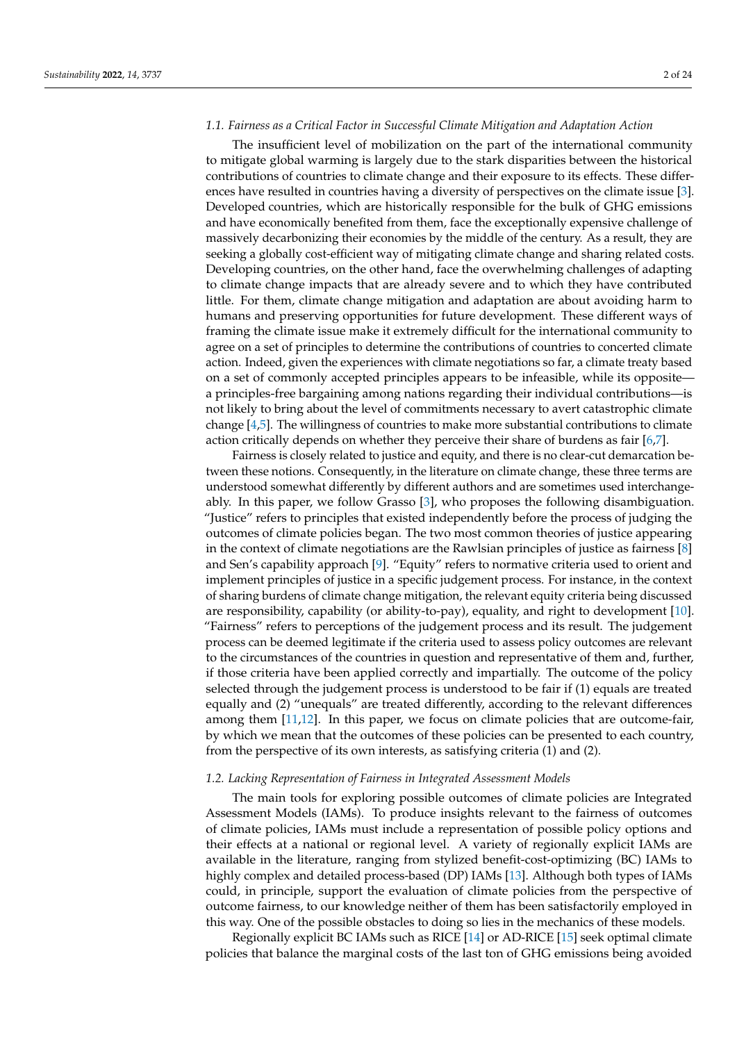#### *1.1. Fairness as a Critical Factor in Successful Climate Mitigation and Adaptation Action*

The insufficient level of mobilization on the part of the international community to mitigate global warming is largely due to the stark disparities between the historical contributions of countries to climate change and their exposure to its effects. These differences have resulted in countries having a diversity of perspectives on the climate issue [\[3\]](#page-21-2). Developed countries, which are historically responsible for the bulk of GHG emissions and have economically benefited from them, face the exceptionally expensive challenge of massively decarbonizing their economies by the middle of the century. As a result, they are seeking a globally cost-efficient way of mitigating climate change and sharing related costs. Developing countries, on the other hand, face the overwhelming challenges of adapting to climate change impacts that are already severe and to which they have contributed little. For them, climate change mitigation and adaptation are about avoiding harm to humans and preserving opportunities for future development. These different ways of framing the climate issue make it extremely difficult for the international community to agree on a set of principles to determine the contributions of countries to concerted climate action. Indeed, given the experiences with climate negotiations so far, a climate treaty based on a set of commonly accepted principles appears to be infeasible, while its opposite a principles-free bargaining among nations regarding their individual contributions—is not likely to bring about the level of commitments necessary to avert catastrophic climate change [\[4,](#page-22-0)[5\]](#page-22-1). The willingness of countries to make more substantial contributions to climate action critically depends on whether they perceive their share of burdens as fair [\[6](#page-22-2)[,7\]](#page-22-3).

Fairness is closely related to justice and equity, and there is no clear-cut demarcation between these notions. Consequently, in the literature on climate change, these three terms are understood somewhat differently by different authors and are sometimes used interchangeably. In this paper, we follow Grasso [\[3\]](#page-21-2), who proposes the following disambiguation. "Justice" refers to principles that existed independently before the process of judging the outcomes of climate policies began. The two most common theories of justice appearing in the context of climate negotiations are the Rawlsian principles of justice as fairness [\[8\]](#page-22-4) and Sen's capability approach [\[9\]](#page-22-5). "Equity" refers to normative criteria used to orient and implement principles of justice in a specific judgement process. For instance, in the context of sharing burdens of climate change mitigation, the relevant equity criteria being discussed are responsibility, capability (or ability-to-pay), equality, and right to development [\[10\]](#page-22-6). "Fairness" refers to perceptions of the judgement process and its result. The judgement process can be deemed legitimate if the criteria used to assess policy outcomes are relevant to the circumstances of the countries in question and representative of them and, further, if those criteria have been applied correctly and impartially. The outcome of the policy selected through the judgement process is understood to be fair if (1) equals are treated equally and (2) "unequals" are treated differently, according to the relevant differences among them [\[11](#page-22-7)[,12\]](#page-22-8). In this paper, we focus on climate policies that are outcome-fair, by which we mean that the outcomes of these policies can be presented to each country, from the perspective of its own interests, as satisfying criteria (1) and (2).

## *1.2. Lacking Representation of Fairness in Integrated Assessment Models*

The main tools for exploring possible outcomes of climate policies are Integrated Assessment Models (IAMs). To produce insights relevant to the fairness of outcomes of climate policies, IAMs must include a representation of possible policy options and their effects at a national or regional level. A variety of regionally explicit IAMs are available in the literature, ranging from stylized benefit-cost-optimizing (BC) IAMs to highly complex and detailed process-based (DP) IAMs [\[13\]](#page-22-9). Although both types of IAMs could, in principle, support the evaluation of climate policies from the perspective of outcome fairness, to our knowledge neither of them has been satisfactorily employed in this way. One of the possible obstacles to doing so lies in the mechanics of these models.

Regionally explicit BC IAMs such as RICE [\[14\]](#page-22-10) or AD-RICE [\[15\]](#page-22-11) seek optimal climate policies that balance the marginal costs of the last ton of GHG emissions being avoided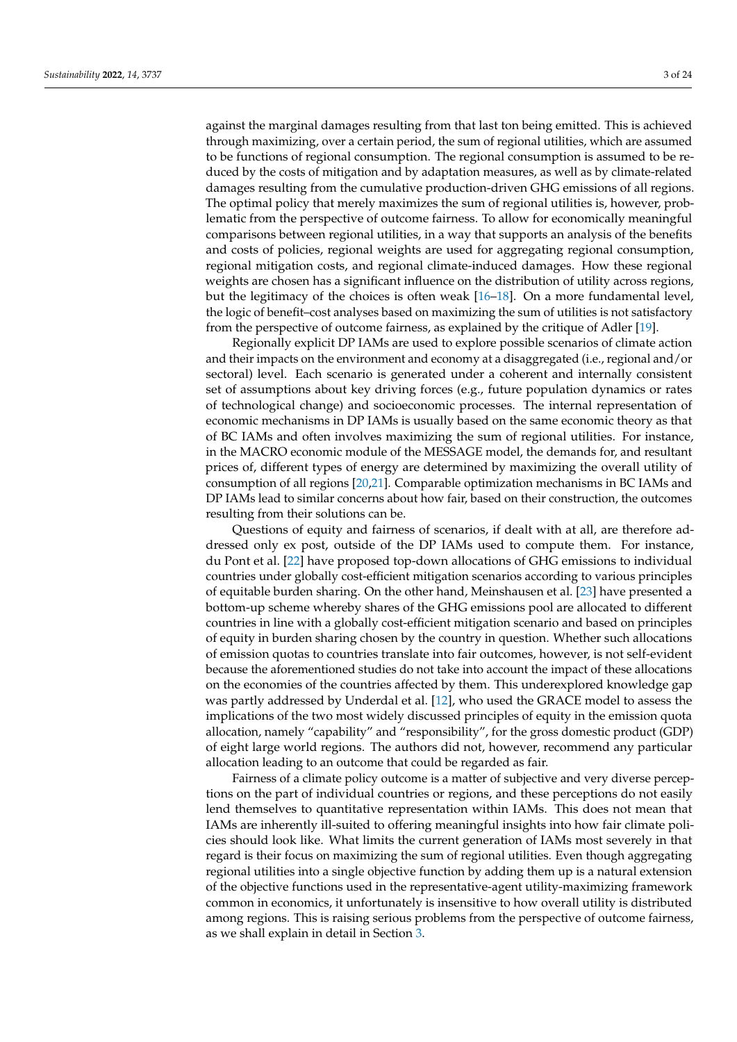against the marginal damages resulting from that last ton being emitted. This is achieved through maximizing, over a certain period, the sum of regional utilities, which are assumed to be functions of regional consumption. The regional consumption is assumed to be reduced by the costs of mitigation and by adaptation measures, as well as by climate-related damages resulting from the cumulative production-driven GHG emissions of all regions. The optimal policy that merely maximizes the sum of regional utilities is, however, problematic from the perspective of outcome fairness. To allow for economically meaningful comparisons between regional utilities, in a way that supports an analysis of the benefits and costs of policies, regional weights are used for aggregating regional consumption, regional mitigation costs, and regional climate-induced damages. How these regional weights are chosen has a significant influence on the distribution of utility across regions, but the legitimacy of the choices is often weak [\[16](#page-22-12)[–18\]](#page-22-13). On a more fundamental level, the logic of benefit–cost analyses based on maximizing the sum of utilities is not satisfactory from the perspective of outcome fairness, as explained by the critique of Adler [\[19\]](#page-22-14).

Regionally explicit DP IAMs are used to explore possible scenarios of climate action and their impacts on the environment and economy at a disaggregated (i.e., regional and/or sectoral) level. Each scenario is generated under a coherent and internally consistent set of assumptions about key driving forces (e.g., future population dynamics or rates of technological change) and socioeconomic processes. The internal representation of economic mechanisms in DP IAMs is usually based on the same economic theory as that of BC IAMs and often involves maximizing the sum of regional utilities. For instance, in the MACRO economic module of the MESSAGE model, the demands for, and resultant prices of, different types of energy are determined by maximizing the overall utility of consumption of all regions [\[20,](#page-22-15)[21\]](#page-22-16). Comparable optimization mechanisms in BC IAMs and DP IAMs lead to similar concerns about how fair, based on their construction, the outcomes resulting from their solutions can be.

Questions of equity and fairness of scenarios, if dealt with at all, are therefore addressed only ex post, outside of the DP IAMs used to compute them. For instance, du Pont et al. [\[22\]](#page-22-17) have proposed top-down allocations of GHG emissions to individual countries under globally cost-efficient mitigation scenarios according to various principles of equitable burden sharing. On the other hand, Meinshausen et al. [\[23\]](#page-22-18) have presented a bottom-up scheme whereby shares of the GHG emissions pool are allocated to different countries in line with a globally cost-efficient mitigation scenario and based on principles of equity in burden sharing chosen by the country in question. Whether such allocations of emission quotas to countries translate into fair outcomes, however, is not self-evident because the aforementioned studies do not take into account the impact of these allocations on the economies of the countries affected by them. This underexplored knowledge gap was partly addressed by Underdal et al. [\[12\]](#page-22-8), who used the GRACE model to assess the implications of the two most widely discussed principles of equity in the emission quota allocation, namely "capability" and "responsibility", for the gross domestic product (GDP) of eight large world regions. The authors did not, however, recommend any particular allocation leading to an outcome that could be regarded as fair.

Fairness of a climate policy outcome is a matter of subjective and very diverse perceptions on the part of individual countries or regions, and these perceptions do not easily lend themselves to quantitative representation within IAMs. This does not mean that IAMs are inherently ill-suited to offering meaningful insights into how fair climate policies should look like. What limits the current generation of IAMs most severely in that regard is their focus on maximizing the sum of regional utilities. Even though aggregating regional utilities into a single objective function by adding them up is a natural extension of the objective functions used in the representative-agent utility-maximizing framework common in economics, it unfortunately is insensitive to how overall utility is distributed among regions. This is raising serious problems from the perspective of outcome fairness, as we shall explain in detail in Section [3.](#page-6-0)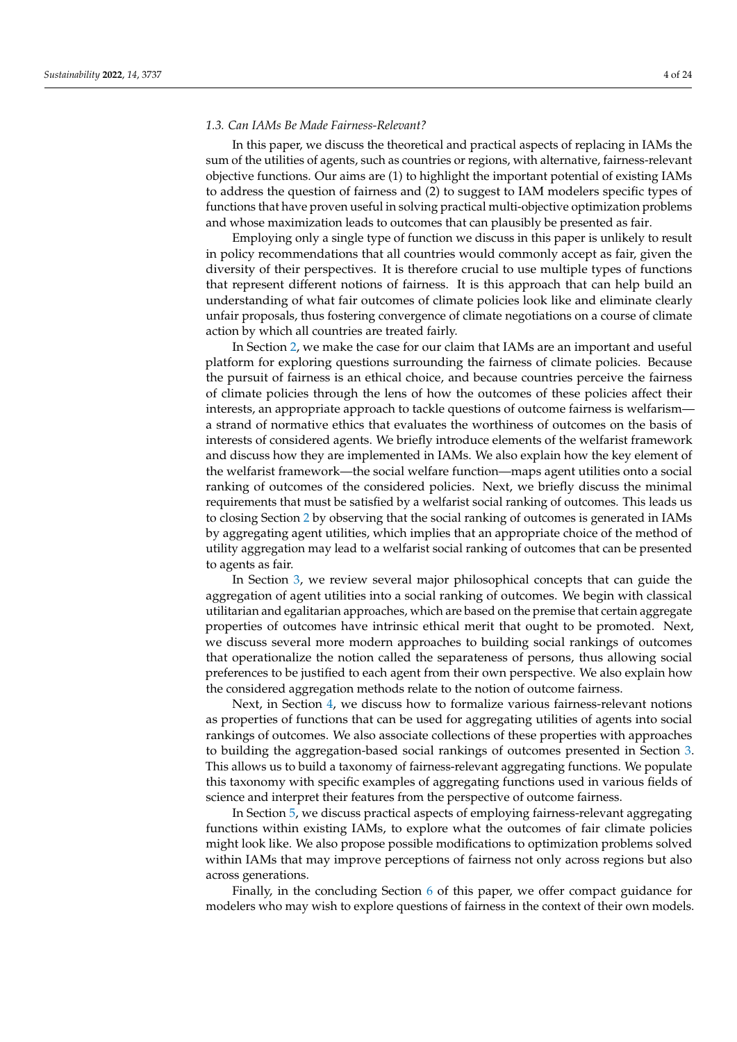## *1.3. Can IAMs Be Made Fairness-Relevant?*

In this paper, we discuss the theoretical and practical aspects of replacing in IAMs the sum of the utilities of agents, such as countries or regions, with alternative, fairness-relevant objective functions. Our aims are (1) to highlight the important potential of existing IAMs to address the question of fairness and (2) to suggest to IAM modelers specific types of functions that have proven useful in solving practical multi-objective optimization problems and whose maximization leads to outcomes that can plausibly be presented as fair.

Employing only a single type of function we discuss in this paper is unlikely to result in policy recommendations that all countries would commonly accept as fair, given the diversity of their perspectives. It is therefore crucial to use multiple types of functions that represent different notions of fairness. It is this approach that can help build an understanding of what fair outcomes of climate policies look like and eliminate clearly unfair proposals, thus fostering convergence of climate negotiations on a course of climate action by which all countries are treated fairly.

In Section [2,](#page-4-0) we make the case for our claim that IAMs are an important and useful platform for exploring questions surrounding the fairness of climate policies. Because the pursuit of fairness is an ethical choice, and because countries perceive the fairness of climate policies through the lens of how the outcomes of these policies affect their interests, an appropriate approach to tackle questions of outcome fairness is welfarism a strand of normative ethics that evaluates the worthiness of outcomes on the basis of interests of considered agents. We briefly introduce elements of the welfarist framework and discuss how they are implemented in IAMs. We also explain how the key element of the welfarist framework—the social welfare function—maps agent utilities onto a social ranking of outcomes of the considered policies. Next, we briefly discuss the minimal requirements that must be satisfied by a welfarist social ranking of outcomes. This leads us to closing Section [2](#page-4-0) by observing that the social ranking of outcomes is generated in IAMs by aggregating agent utilities, which implies that an appropriate choice of the method of utility aggregation may lead to a welfarist social ranking of outcomes that can be presented to agents as fair.

In Section [3,](#page-6-0) we review several major philosophical concepts that can guide the aggregation of agent utilities into a social ranking of outcomes. We begin with classical utilitarian and egalitarian approaches, which are based on the premise that certain aggregate properties of outcomes have intrinsic ethical merit that ought to be promoted. Next, we discuss several more modern approaches to building social rankings of outcomes that operationalize the notion called the separateness of persons, thus allowing social preferences to be justified to each agent from their own perspective. We also explain how the considered aggregation methods relate to the notion of outcome fairness.

Next, in Section [4,](#page-10-0) we discuss how to formalize various fairness-relevant notions as properties of functions that can be used for aggregating utilities of agents into social rankings of outcomes. We also associate collections of these properties with approaches to building the aggregation-based social rankings of outcomes presented in Section [3.](#page-6-0) This allows us to build a taxonomy of fairness-relevant aggregating functions. We populate this taxonomy with specific examples of aggregating functions used in various fields of science and interpret their features from the perspective of outcome fairness.

In Section [5,](#page-19-0) we discuss practical aspects of employing fairness-relevant aggregating functions within existing IAMs, to explore what the outcomes of fair climate policies might look like. We also propose possible modifications to optimization problems solved within IAMs that may improve perceptions of fairness not only across regions but also across generations.

Finally, in the concluding Section [6](#page-21-3) of this paper, we offer compact guidance for modelers who may wish to explore questions of fairness in the context of their own models.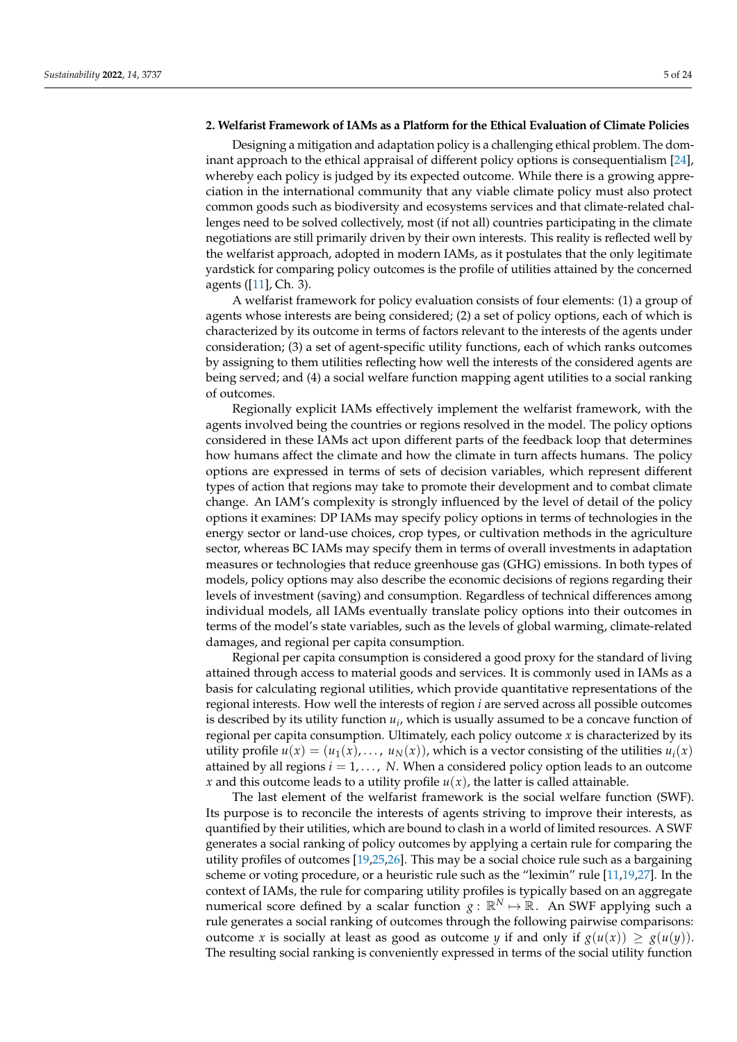# <span id="page-4-0"></span>**2. Welfarist Framework of IAMs as a Platform for the Ethical Evaluation of Climate Policies**

Designing a mitigation and adaptation policy is a challenging ethical problem. The dominant approach to the ethical appraisal of different policy options is consequentialism [\[24\]](#page-22-19), whereby each policy is judged by its expected outcome. While there is a growing appreciation in the international community that any viable climate policy must also protect common goods such as biodiversity and ecosystems services and that climate-related challenges need to be solved collectively, most (if not all) countries participating in the climate negotiations are still primarily driven by their own interests. This reality is reflected well by the welfarist approach, adopted in modern IAMs, as it postulates that the only legitimate yardstick for comparing policy outcomes is the profile of utilities attained by the concerned agents ([\[11\]](#page-22-7), Ch. 3).

A welfarist framework for policy evaluation consists of four elements: (1) a group of agents whose interests are being considered; (2) a set of policy options, each of which is characterized by its outcome in terms of factors relevant to the interests of the agents under consideration; (3) a set of agent-specific utility functions, each of which ranks outcomes by assigning to them utilities reflecting how well the interests of the considered agents are being served; and (4) a social welfare function mapping agent utilities to a social ranking of outcomes.

Regionally explicit IAMs effectively implement the welfarist framework, with the agents involved being the countries or regions resolved in the model. The policy options considered in these IAMs act upon different parts of the feedback loop that determines how humans affect the climate and how the climate in turn affects humans. The policy options are expressed in terms of sets of decision variables, which represent different types of action that regions may take to promote their development and to combat climate change. An IAM's complexity is strongly influenced by the level of detail of the policy options it examines: DP IAMs may specify policy options in terms of technologies in the energy sector or land-use choices, crop types, or cultivation methods in the agriculture sector, whereas BC IAMs may specify them in terms of overall investments in adaptation measures or technologies that reduce greenhouse gas (GHG) emissions. In both types of models, policy options may also describe the economic decisions of regions regarding their levels of investment (saving) and consumption. Regardless of technical differences among individual models, all IAMs eventually translate policy options into their outcomes in terms of the model's state variables, such as the levels of global warming, climate-related damages, and regional per capita consumption.

Regional per capita consumption is considered a good proxy for the standard of living attained through access to material goods and services. It is commonly used in IAMs as a basis for calculating regional utilities, which provide quantitative representations of the regional interests. How well the interests of region *i* are served across all possible outcomes is described by its utility function *u<sup>i</sup>* , which is usually assumed to be a concave function of regional per capita consumption. Ultimately, each policy outcome *x* is characterized by its utility profile  $u(x) = (u_1(x), \ldots, u_N(x))$ , which is a vector consisting of the utilities  $u_i(x)$ attained by all regions  $i = 1, \ldots, N$ . When a considered policy option leads to an outcome *x* and this outcome leads to a utility profile  $u(x)$ , the latter is called attainable.

The last element of the welfarist framework is the social welfare function (SWF). Its purpose is to reconcile the interests of agents striving to improve their interests, as quantified by their utilities, which are bound to clash in a world of limited resources. A SWF generates a social ranking of policy outcomes by applying a certain rule for comparing the utility profiles of outcomes [\[19](#page-22-14)[,25](#page-22-20)[,26\]](#page-22-21). This may be a social choice rule such as a bargaining scheme or voting procedure, or a heuristic rule such as the "leximin" rule [\[11](#page-22-7)[,19](#page-22-14)[,27\]](#page-22-22). In the context of IAMs, the rule for comparing utility profiles is typically based on an aggregate numerical score defined by a scalar function  $g : \mathbb{R}^N \mapsto \mathbb{R}$ . An SWF applying such a rule generates a social ranking of outcomes through the following pairwise comparisons: outcome *x* is socially at least as good as outcome *y* if and only if  $g(u(x)) \ge g(u(y))$ . The resulting social ranking is conveniently expressed in terms of the social utility function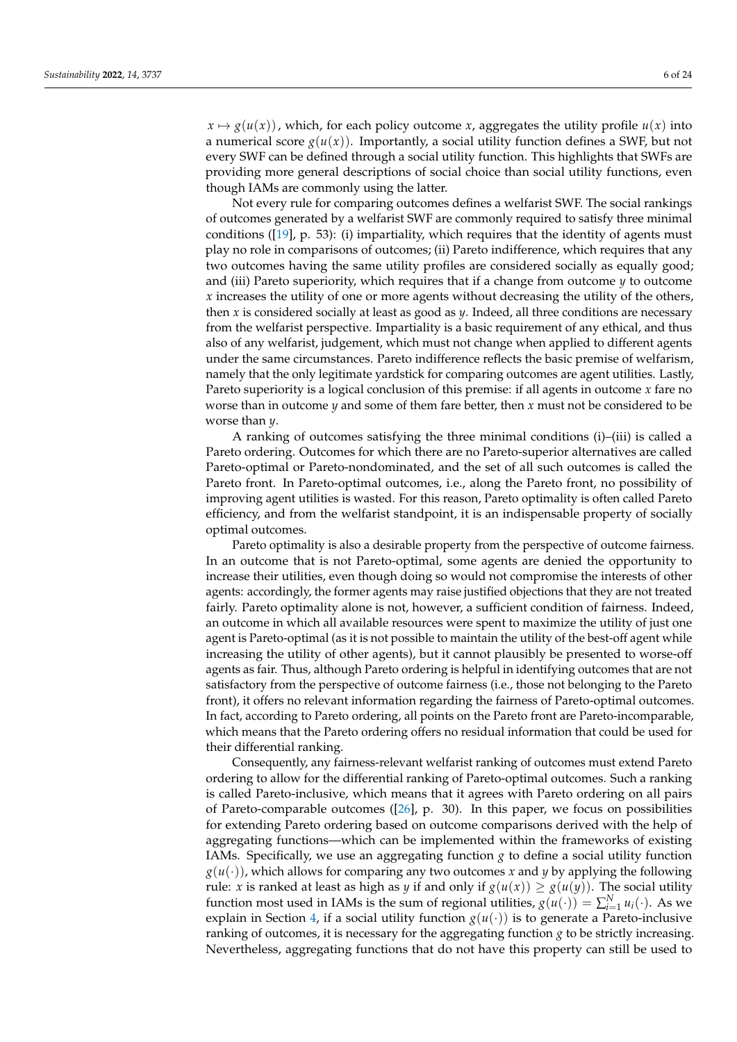$x \mapsto g(u(x))$ , which, for each policy outcome *x*, aggregates the utility profile  $u(x)$  into a numerical score  $g(u(x))$ . Importantly, a social utility function defines a SWF, but not every SWF can be defined through a social utility function. This highlights that SWFs are providing more general descriptions of social choice than social utility functions, even though IAMs are commonly using the latter.

Not every rule for comparing outcomes defines a welfarist SWF. The social rankings of outcomes generated by a welfarist SWF are commonly required to satisfy three minimal conditions ([\[19\]](#page-22-14), p. 53): (i) impartiality, which requires that the identity of agents must play no role in comparisons of outcomes; (ii) Pareto indifference, which requires that any two outcomes having the same utility profiles are considered socially as equally good; and (iii) Pareto superiority, which requires that if a change from outcome *y* to outcome *x* increases the utility of one or more agents without decreasing the utility of the others, then *x* is considered socially at least as good as *y*. Indeed, all three conditions are necessary from the welfarist perspective. Impartiality is a basic requirement of any ethical, and thus also of any welfarist, judgement, which must not change when applied to different agents under the same circumstances. Pareto indifference reflects the basic premise of welfarism, namely that the only legitimate yardstick for comparing outcomes are agent utilities. Lastly, Pareto superiority is a logical conclusion of this premise: if all agents in outcome *x* fare no worse than in outcome *y* and some of them fare better, then *x* must not be considered to be worse than *y*.

A ranking of outcomes satisfying the three minimal conditions (i)–(iii) is called a Pareto ordering. Outcomes for which there are no Pareto-superior alternatives are called Pareto-optimal or Pareto-nondominated, and the set of all such outcomes is called the Pareto front. In Pareto-optimal outcomes, i.e., along the Pareto front, no possibility of improving agent utilities is wasted. For this reason, Pareto optimality is often called Pareto efficiency, and from the welfarist standpoint, it is an indispensable property of socially optimal outcomes.

Pareto optimality is also a desirable property from the perspective of outcome fairness. In an outcome that is not Pareto-optimal, some agents are denied the opportunity to increase their utilities, even though doing so would not compromise the interests of other agents: accordingly, the former agents may raise justified objections that they are not treated fairly. Pareto optimality alone is not, however, a sufficient condition of fairness. Indeed, an outcome in which all available resources were spent to maximize the utility of just one agent is Pareto-optimal (as it is not possible to maintain the utility of the best-off agent while increasing the utility of other agents), but it cannot plausibly be presented to worse-off agents as fair. Thus, although Pareto ordering is helpful in identifying outcomes that are not satisfactory from the perspective of outcome fairness (i.e., those not belonging to the Pareto front), it offers no relevant information regarding the fairness of Pareto-optimal outcomes. In fact, according to Pareto ordering, all points on the Pareto front are Pareto-incomparable, which means that the Pareto ordering offers no residual information that could be used for their differential ranking.

Consequently, any fairness-relevant welfarist ranking of outcomes must extend Pareto ordering to allow for the differential ranking of Pareto-optimal outcomes. Such a ranking is called Pareto-inclusive, which means that it agrees with Pareto ordering on all pairs of Pareto-comparable outcomes ([\[26\]](#page-22-21), p. 30). In this paper, we focus on possibilities for extending Pareto ordering based on outcome comparisons derived with the help of aggregating functions—which can be implemented within the frameworks of existing IAMs. Specifically, we use an aggregating function  $g$  to define a social utility function  $g(u(\cdot))$ , which allows for comparing any two outcomes x and y by applying the following rule: *x* is ranked at least as high as *y* if and only if  $g(u(x)) \ge g(u(y))$ . The social utility function most used in IAMs is the sum of regional utilities,  $g(u(\cdot)) = \sum_{i=1}^{N} u_i(\cdot)$ . As we explain in Section [4,](#page-10-0) if a social utility function  $g(u(\cdot))$  is to generate a Pareto-inclusive ranking of outcomes, it is necessary for the aggregating function *g* to be strictly increasing. Nevertheless, aggregating functions that do not have this property can still be used to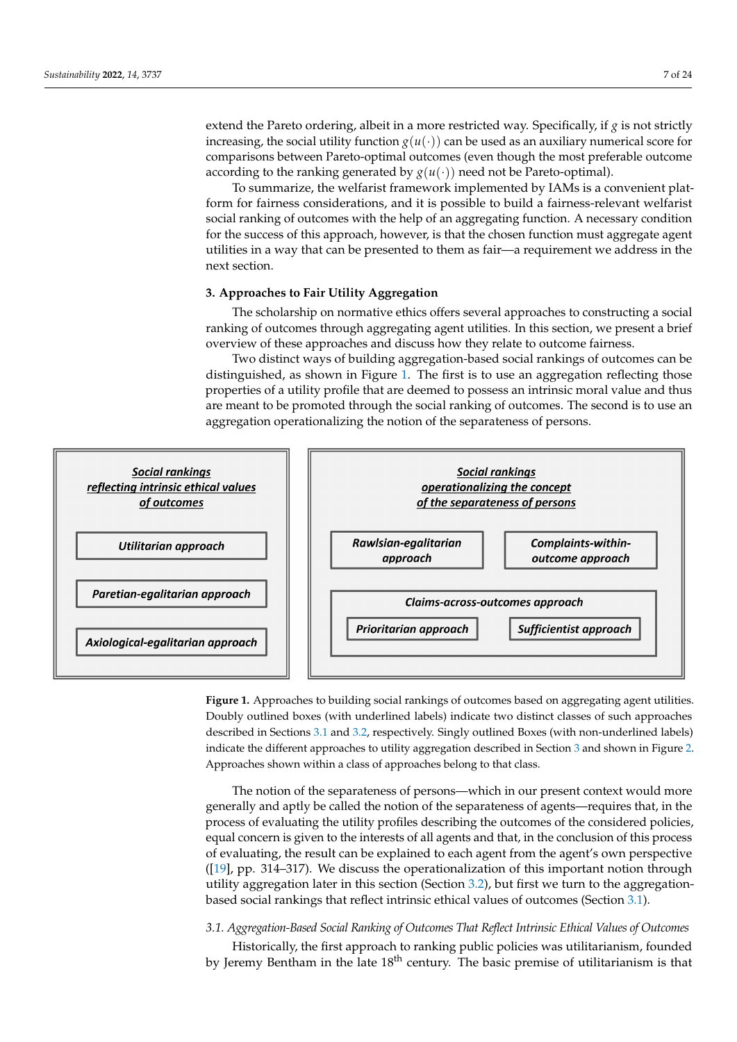extend the Pareto ordering, albeit in a more restricted way. Specifically, if *g* is not strictly increasing, the social utility function  $g(u(\cdot))$  can be used as an auxiliary numerical score for comparisons between Pareto-optimal outcomes (even though the most preferable outcome  $\epsilon$  according to the ranking generated by  $g(u(\cdot))$  need not be Pareto-optimal).

To summarize, the welfarist framework implemented by IAMs is a convenient plat-To summarize, the welfarist framework implemented by IAMs is a convenient platform for fairness considerations, and it is possible to build a fairness-relevant welfarist form for fairness considerations, and it is possible to build a fairness-relevant welfarist social ranking of outcomes with the help of an aggregating function. A necessary condition for the success of this approach, however, is that the chosen function must aggregate agent utilities in a way that can be presented to them as fair—a requirement we address in the next section.

# <span id="page-6-0"></span>**3. Approaches to Fair Utility Aggregation 3. Approaches to Fair Utility Aggregation**

The scholarship on normative ethics offers several approaches to constructing a social ranking of outcomes through aggregating agent utilities. In this section, we present a brief overview of these approaches and discuss how they relate to outcome fairness.

<span id="page-6-1"></span>Two distinct ways of building aggregation-based social rankings of outcomes can be Two distinct ways of building aggregation-based social rankings of outcomes can be distinguished, as shown in Figure 1. The first is to use an aggregation reflecting those distinguished, as shown in Figure [1.](#page-6-1) The first is to use an aggregation reflecting those properties of a utility profile that are deemed to possess an intrinsic moral value and thus properties of a utility profile that are deemed to possess an intrinsic moral value and thus are meant to be promoted through the social ranking of outcomes. The second is to use an are meant to be promoted through the social ranking of outcomes. The second is to use an aggregation operationalizing the notion of the separateness of persons. aggregation operationalizing the notion of the separateness of persons.



Figure 1. Approaches to building social rankings of outcomes based on aggregating agent utilities. Doubly outlined boxes (with underlined labels) indicate two distinct classes of such approaches described in Sections [3.1](#page-6-2) and [3.2,](#page-8-0) respectively. Singly outlined Boxes (with non-underlined labels) indicate the different approaches to utility aggregation described in Section [3](#page-6-0) and shown in Figure [2.](#page-13-0) Approaches shown within a class of approaches belong to that class.

> The notion of the separateness of persons—which in our present context would more generally and aptly be called the notion of the separateness of agents—requires that, in the process of evaluating the utility profiles describing the outcomes of the considered policies, r<br>equal concern is given to the interests of all agents and that, in the conclusion of this process of evaluating, the result can be explained to each agent from the agent's own perspective ([\[19\]](#page-22-14), pp. 314–317). We discuss the operationalization of this important notion through utility aggregation later in this section (Section [3.2\)](#page-8-0), but first we turn to the aggregationbased social rankings that reflect intrinsic ethical values of outcomes (Section [3.1\)](#page-6-2).

# <span id="page-6-2"></span>*3.1. Aggregation-Based Social Ranking of Outcomes That Reflect Intrinsic Ethical Values of Outcomes*

Historically, the first approach to ranking public policies was utilitarianism, founded by Jeremy Bentham in the late  $18<sup>th</sup>$  century. The basic premise of utilitarianism is that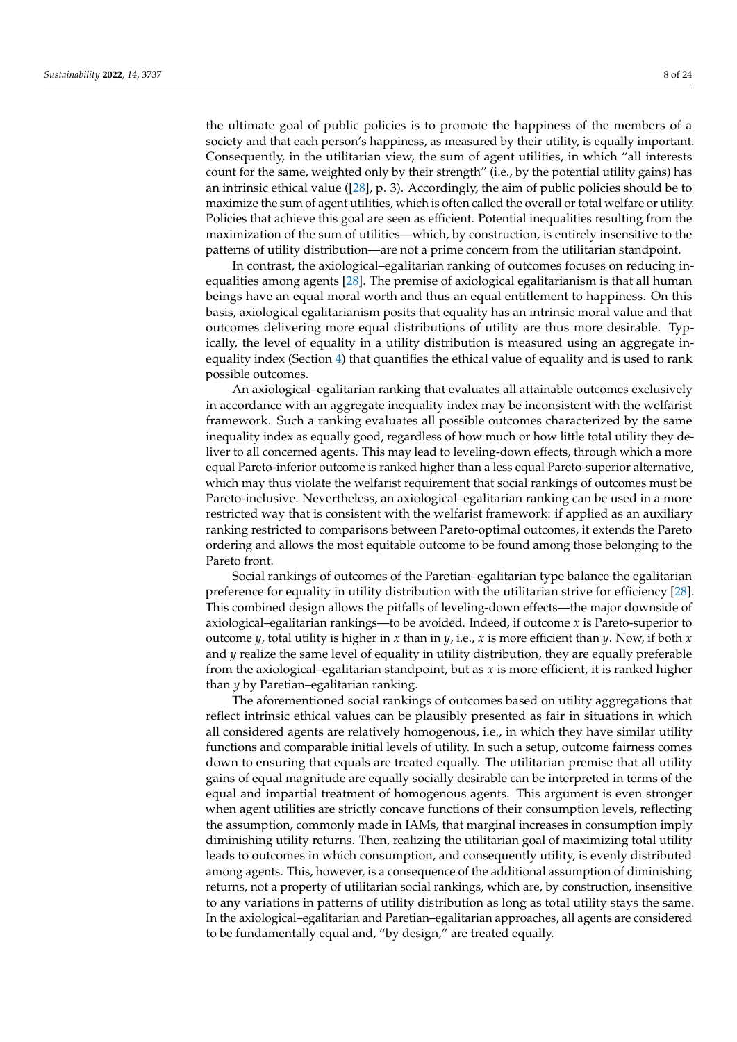the ultimate goal of public policies is to promote the happiness of the members of a society and that each person's happiness, as measured by their utility, is equally important. Consequently, in the utilitarian view, the sum of agent utilities, in which "all interests count for the same, weighted only by their strength" (i.e., by the potential utility gains) has an intrinsic ethical value ([\[28\]](#page-22-23), p. 3). Accordingly, the aim of public policies should be to maximize the sum of agent utilities, which is often called the overall or total welfare or utility. Policies that achieve this goal are seen as efficient. Potential inequalities resulting from the maximization of the sum of utilities—which, by construction, is entirely insensitive to the patterns of utility distribution—are not a prime concern from the utilitarian standpoint.

In contrast, the axiological–egalitarian ranking of outcomes focuses on reducing inequalities among agents [\[28\]](#page-22-23). The premise of axiological egalitarianism is that all human beings have an equal moral worth and thus an equal entitlement to happiness. On this basis, axiological egalitarianism posits that equality has an intrinsic moral value and that outcomes delivering more equal distributions of utility are thus more desirable. Typically, the level of equality in a utility distribution is measured using an aggregate inequality index (Section [4\)](#page-10-0) that quantifies the ethical value of equality and is used to rank possible outcomes.

An axiological–egalitarian ranking that evaluates all attainable outcomes exclusively in accordance with an aggregate inequality index may be inconsistent with the welfarist framework. Such a ranking evaluates all possible outcomes characterized by the same inequality index as equally good, regardless of how much or how little total utility they deliver to all concerned agents. This may lead to leveling-down effects, through which a more equal Pareto-inferior outcome is ranked higher than a less equal Pareto-superior alternative, which may thus violate the welfarist requirement that social rankings of outcomes must be Pareto-inclusive. Nevertheless, an axiological–egalitarian ranking can be used in a more restricted way that is consistent with the welfarist framework: if applied as an auxiliary ranking restricted to comparisons between Pareto-optimal outcomes, it extends the Pareto ordering and allows the most equitable outcome to be found among those belonging to the Pareto front.

Social rankings of outcomes of the Paretian–egalitarian type balance the egalitarian preference for equality in utility distribution with the utilitarian strive for efficiency [\[28\]](#page-22-23). This combined design allows the pitfalls of leveling-down effects—the major downside of axiological–egalitarian rankings—to be avoided. Indeed, if outcome *x* is Pareto-superior to outcome *y*, total utility is higher in *x* than in *y*, i.e., *x* is more efficient than *y*. Now, if both *x* and *y* realize the same level of equality in utility distribution, they are equally preferable from the axiological–egalitarian standpoint, but as *x* is more efficient, it is ranked higher than *y* by Paretian–egalitarian ranking.

The aforementioned social rankings of outcomes based on utility aggregations that reflect intrinsic ethical values can be plausibly presented as fair in situations in which all considered agents are relatively homogenous, i.e., in which they have similar utility functions and comparable initial levels of utility. In such a setup, outcome fairness comes down to ensuring that equals are treated equally. The utilitarian premise that all utility gains of equal magnitude are equally socially desirable can be interpreted in terms of the equal and impartial treatment of homogenous agents. This argument is even stronger when agent utilities are strictly concave functions of their consumption levels, reflecting the assumption, commonly made in IAMs, that marginal increases in consumption imply diminishing utility returns. Then, realizing the utilitarian goal of maximizing total utility leads to outcomes in which consumption, and consequently utility, is evenly distributed among agents. This, however, is a consequence of the additional assumption of diminishing returns, not a property of utilitarian social rankings, which are, by construction, insensitive to any variations in patterns of utility distribution as long as total utility stays the same. In the axiological–egalitarian and Paretian–egalitarian approaches, all agents are considered to be fundamentally equal and, "by design," are treated equally.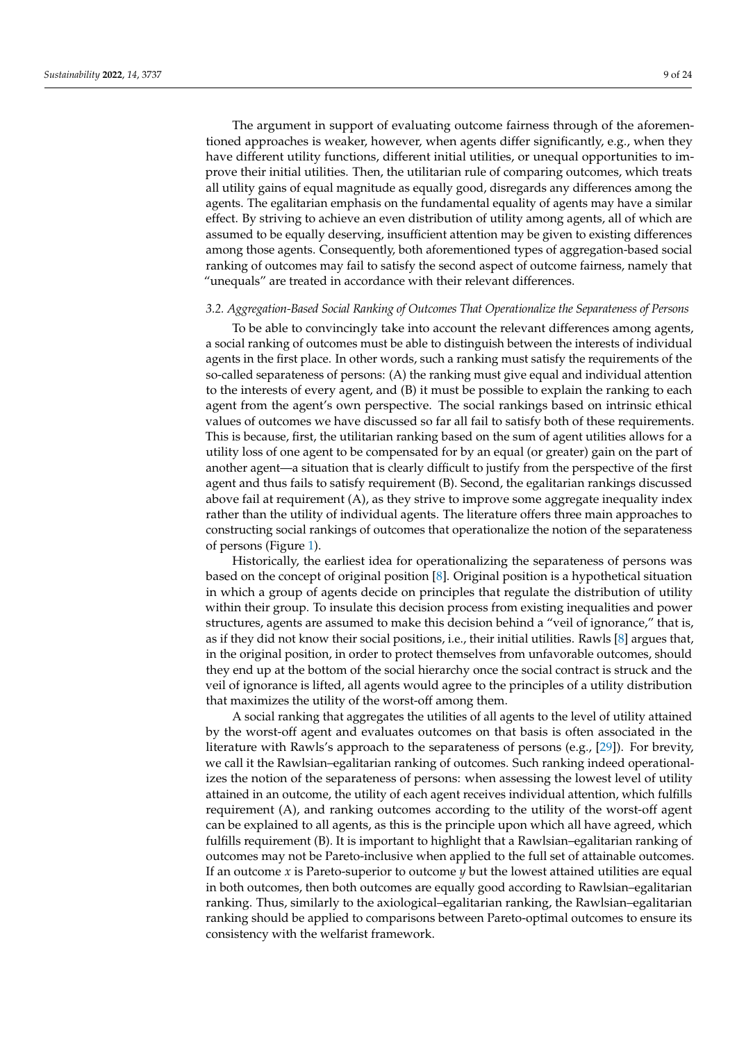The argument in support of evaluating outcome fairness through of the aforementioned approaches is weaker, however, when agents differ significantly, e.g., when they have different utility functions, different initial utilities, or unequal opportunities to improve their initial utilities. Then, the utilitarian rule of comparing outcomes, which treats all utility gains of equal magnitude as equally good, disregards any differences among the agents. The egalitarian emphasis on the fundamental equality of agents may have a similar effect. By striving to achieve an even distribution of utility among agents, all of which are assumed to be equally deserving, insufficient attention may be given to existing differences among those agents. Consequently, both aforementioned types of aggregation-based social ranking of outcomes may fail to satisfy the second aspect of outcome fairness, namely that "unequals" are treated in accordance with their relevant differences.

#### <span id="page-8-0"></span>*3.2. Aggregation-Based Social Ranking of Outcomes That Operationalize the Separateness of Persons*

To be able to convincingly take into account the relevant differences among agents, a social ranking of outcomes must be able to distinguish between the interests of individual agents in the first place. In other words, such a ranking must satisfy the requirements of the so-called separateness of persons: (A) the ranking must give equal and individual attention to the interests of every agent, and (B) it must be possible to explain the ranking to each agent from the agent's own perspective. The social rankings based on intrinsic ethical values of outcomes we have discussed so far all fail to satisfy both of these requirements. This is because, first, the utilitarian ranking based on the sum of agent utilities allows for a utility loss of one agent to be compensated for by an equal (or greater) gain on the part of another agent—a situation that is clearly difficult to justify from the perspective of the first agent and thus fails to satisfy requirement (B). Second, the egalitarian rankings discussed above fail at requirement (A), as they strive to improve some aggregate inequality index rather than the utility of individual agents. The literature offers three main approaches to constructing social rankings of outcomes that operationalize the notion of the separateness of persons (Figure [1\)](#page-6-1).

Historically, the earliest idea for operationalizing the separateness of persons was based on the concept of original position [\[8\]](#page-22-4). Original position is a hypothetical situation in which a group of agents decide on principles that regulate the distribution of utility within their group. To insulate this decision process from existing inequalities and power structures, agents are assumed to make this decision behind a "veil of ignorance," that is, as if they did not know their social positions, i.e., their initial utilities. Rawls [\[8\]](#page-22-4) argues that, in the original position, in order to protect themselves from unfavorable outcomes, should they end up at the bottom of the social hierarchy once the social contract is struck and the veil of ignorance is lifted, all agents would agree to the principles of a utility distribution that maximizes the utility of the worst-off among them.

A social ranking that aggregates the utilities of all agents to the level of utility attained by the worst-off agent and evaluates outcomes on that basis is often associated in the literature with Rawls's approach to the separateness of persons (e.g., [\[29\]](#page-22-24)). For brevity, we call it the Rawlsian–egalitarian ranking of outcomes. Such ranking indeed operationalizes the notion of the separateness of persons: when assessing the lowest level of utility attained in an outcome, the utility of each agent receives individual attention, which fulfills requirement (A), and ranking outcomes according to the utility of the worst-off agent can be explained to all agents, as this is the principle upon which all have agreed, which fulfills requirement (B). It is important to highlight that a Rawlsian–egalitarian ranking of outcomes may not be Pareto-inclusive when applied to the full set of attainable outcomes. If an outcome *x* is Pareto-superior to outcome *y* but the lowest attained utilities are equal in both outcomes, then both outcomes are equally good according to Rawlsian–egalitarian ranking. Thus, similarly to the axiological–egalitarian ranking, the Rawlsian–egalitarian ranking should be applied to comparisons between Pareto-optimal outcomes to ensure its consistency with the welfarist framework.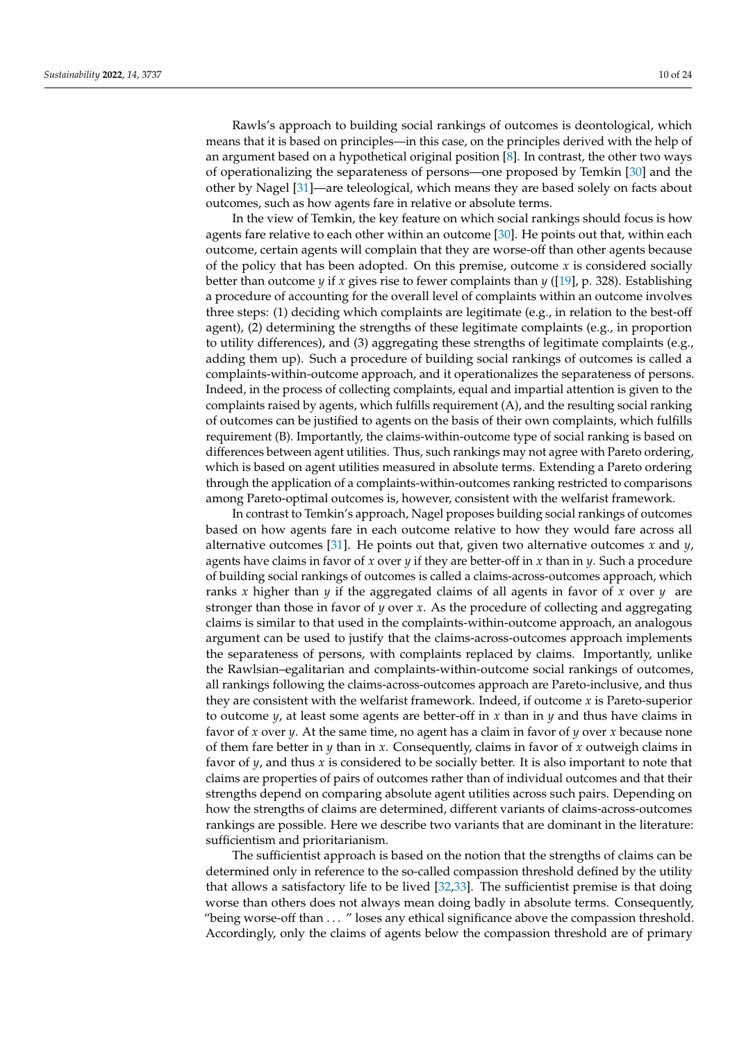Rawls's approach to building social rankings of outcomes is deontological, which means that it is based on principles—in this case, on the principles derived with the help of an argument based on a hypothetical original position [\[8\]](#page-22-4). In contrast, the other two ways of operationalizing the separateness of persons—one proposed by Temkin [\[30\]](#page-22-25) and the other by Nagel [\[31\]](#page-22-26)—are teleological, which means they are based solely on facts about outcomes, such as how agents fare in relative or absolute terms.

In the view of Temkin, the key feature on which social rankings should focus is how agents fare relative to each other within an outcome [\[30\]](#page-22-25). He points out that, within each outcome, certain agents will complain that they are worse-off than other agents because of the policy that has been adopted. On this premise, outcome *x* is considered socially better than outcome *y* if *x* gives rise to fewer complaints than *y* ([\[19\]](#page-22-14), p. 328). Establishing a procedure of accounting for the overall level of complaints within an outcome involves three steps: (1) deciding which complaints are legitimate (e.g., in relation to the best-off agent), (2) determining the strengths of these legitimate complaints (e.g., in proportion to utility differences), and (3) aggregating these strengths of legitimate complaints (e.g., adding them up). Such a procedure of building social rankings of outcomes is called a complaints-within-outcome approach, and it operationalizes the separateness of persons. Indeed, in the process of collecting complaints, equal and impartial attention is given to the complaints raised by agents, which fulfills requirement (A), and the resulting social ranking of outcomes can be justified to agents on the basis of their own complaints, which fulfills requirement (B). Importantly, the claims-within-outcome type of social ranking is based on differences between agent utilities. Thus, such rankings may not agree with Pareto ordering, which is based on agent utilities measured in absolute terms. Extending a Pareto ordering through the application of a complaints-within-outcomes ranking restricted to comparisons among Pareto-optimal outcomes is, however, consistent with the welfarist framework.

In contrast to Temkin's approach, Nagel proposes building social rankings of outcomes based on how agents fare in each outcome relative to how they would fare across all alternative outcomes [\[31\]](#page-22-26). He points out that, given two alternative outcomes *x* and *y*, agents have claims in favor of *x* over *y* if they are better-off in *x* than in *y*. Such a procedure of building social rankings of outcomes is called a claims-across-outcomes approach, which ranks *x* higher than *y* if the aggregated claims of all agents in favor of *x* over *y* are stronger than those in favor of *y* over *x*. As the procedure of collecting and aggregating claims is similar to that used in the complaints-within-outcome approach, an analogous argument can be used to justify that the claims-across-outcomes approach implements the separateness of persons, with complaints replaced by claims. Importantly, unlike the Rawlsian–egalitarian and complaints-within-outcome social rankings of outcomes, all rankings following the claims-across-outcomes approach are Pareto-inclusive, and thus they are consistent with the welfarist framework. Indeed, if outcome *x* is Pareto-superior to outcome *y*, at least some agents are better-off in *x* than in *y* and thus have claims in favor of *x* over *y*. At the same time, no agent has a claim in favor of *y* over *x* because none of them fare better in *y* than in *x*. Consequently, claims in favor of *x* outweigh claims in favor of *y*, and thus *x* is considered to be socially better. It is also important to note that claims are properties of pairs of outcomes rather than of individual outcomes and that their strengths depend on comparing absolute agent utilities across such pairs. Depending on how the strengths of claims are determined, different variants of claims-across-outcomes rankings are possible. Here we describe two variants that are dominant in the literature: sufficientism and prioritarianism.

The sufficientist approach is based on the notion that the strengths of claims can be determined only in reference to the so-called compassion threshold defined by the utility that allows a satisfactory life to be lived [\[32](#page-22-27)[,33\]](#page-22-28). The sufficientist premise is that doing worse than others does not always mean doing badly in absolute terms. Consequently, "being worse-off than ... " loses any ethical significance above the compassion threshold. Accordingly, only the claims of agents below the compassion threshold are of primary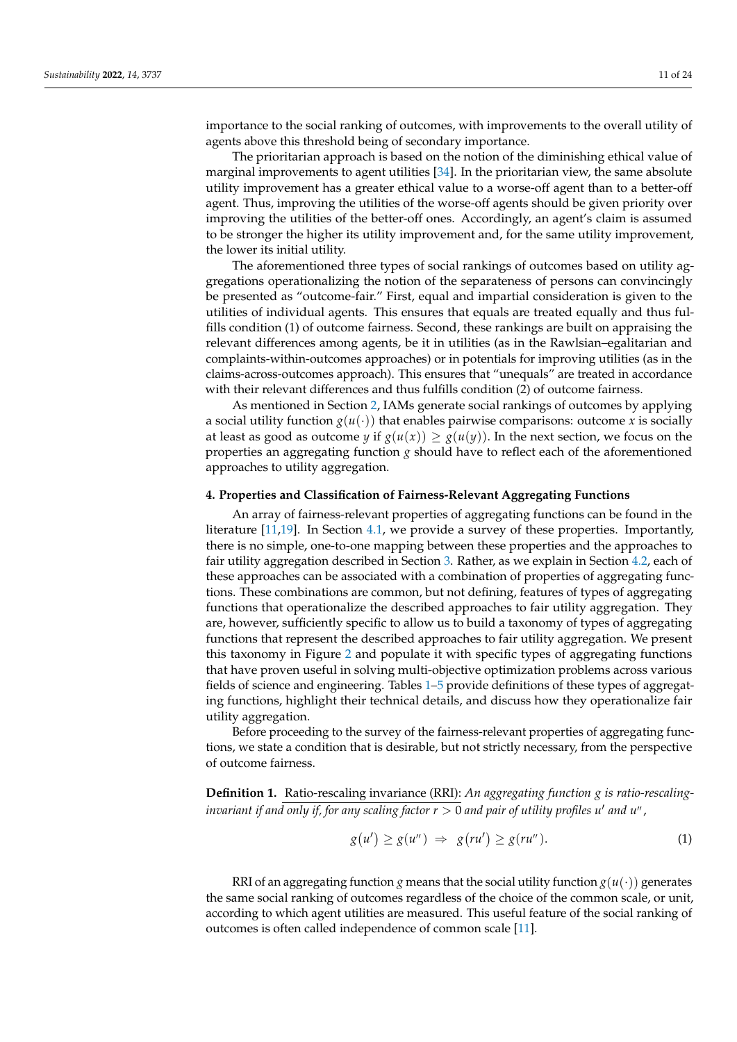importance to the social ranking of outcomes, with improvements to the overall utility of agents above this threshold being of secondary importance.

The prioritarian approach is based on the notion of the diminishing ethical value of marginal improvements to agent utilities [\[34\]](#page-22-29). In the prioritarian view, the same absolute utility improvement has a greater ethical value to a worse-off agent than to a better-off agent. Thus, improving the utilities of the worse-off agents should be given priority over improving the utilities of the better-off ones. Accordingly, an agent's claim is assumed to be stronger the higher its utility improvement and, for the same utility improvement, the lower its initial utility.

The aforementioned three types of social rankings of outcomes based on utility aggregations operationalizing the notion of the separateness of persons can convincingly be presented as "outcome-fair." First, equal and impartial consideration is given to the utilities of individual agents. This ensures that equals are treated equally and thus fulfills condition (1) of outcome fairness. Second, these rankings are built on appraising the relevant differences among agents, be it in utilities (as in the Rawlsian–egalitarian and complaints-within-outcomes approaches) or in potentials for improving utilities (as in the claims-across-outcomes approach). This ensures that "unequals" are treated in accordance with their relevant differences and thus fulfills condition (2) of outcome fairness.

As mentioned in Section [2,](#page-4-0) IAMs generate social rankings of outcomes by applying a social utility function  $g(u(\cdot))$  that enables pairwise comparisons: outcome *x* is socially at least as good as outcome *y* if  $g(u(x)) \ge g(u(y))$ . In the next section, we focus on the properties an aggregating function *g* should have to reflect each of the aforementioned approaches to utility aggregation.

#### <span id="page-10-0"></span>**4. Properties and Classification of Fairness-Relevant Aggregating Functions**

An array of fairness-relevant properties of aggregating functions can be found in the literature [\[11](#page-22-7)[,19\]](#page-22-14). In Section [4.1,](#page-11-0) we provide a survey of these properties. Importantly, there is no simple, one-to-one mapping between these properties and the approaches to fair utility aggregation described in Section [3.](#page-6-0) Rather, as we explain in Section [4.2,](#page-12-0) each of these approaches can be associated with a combination of properties of aggregating functions. These combinations are common, but not defining, features of types of aggregating functions that operationalize the described approaches to fair utility aggregation. They are, however, sufficiently specific to allow us to build a taxonomy of types of aggregating functions that represent the described approaches to fair utility aggregation. We present this taxonomy in Figure [2](#page-13-0) and populate it with specific types of aggregating functions that have proven useful in solving multi-objective optimization problems across various fields of science and engineering. Tables [1](#page-14-0)[–5](#page-17-0) provide definitions of these types of aggregating functions, highlight their technical details, and discuss how they operationalize fair utility aggregation.

Before proceeding to the survey of the fairness-relevant properties of aggregating functions, we state a condition that is desirable, but not strictly necessary, from the perspective of outcome fairness.

**Definition 1.** Ratio-rescaling invariance (RRI): *An aggregating function g is ratio-rescalinginvariant if and only if, for any scaling factor*  $r > 0$  *and pair of utility profiles*  $u'$  *and*  $u''$  *,* 

$$
g(u') \ge g(u'') \Rightarrow g(ru') \ge g(ru''). \tag{1}
$$

RRI of an aggregating function *g* means that the social utility function  $g(u(\cdot))$  generates the same social ranking of outcomes regardless of the choice of the common scale, or unit, according to which agent utilities are measured. This useful feature of the social ranking of outcomes is often called independence of common scale [\[11\]](#page-22-7).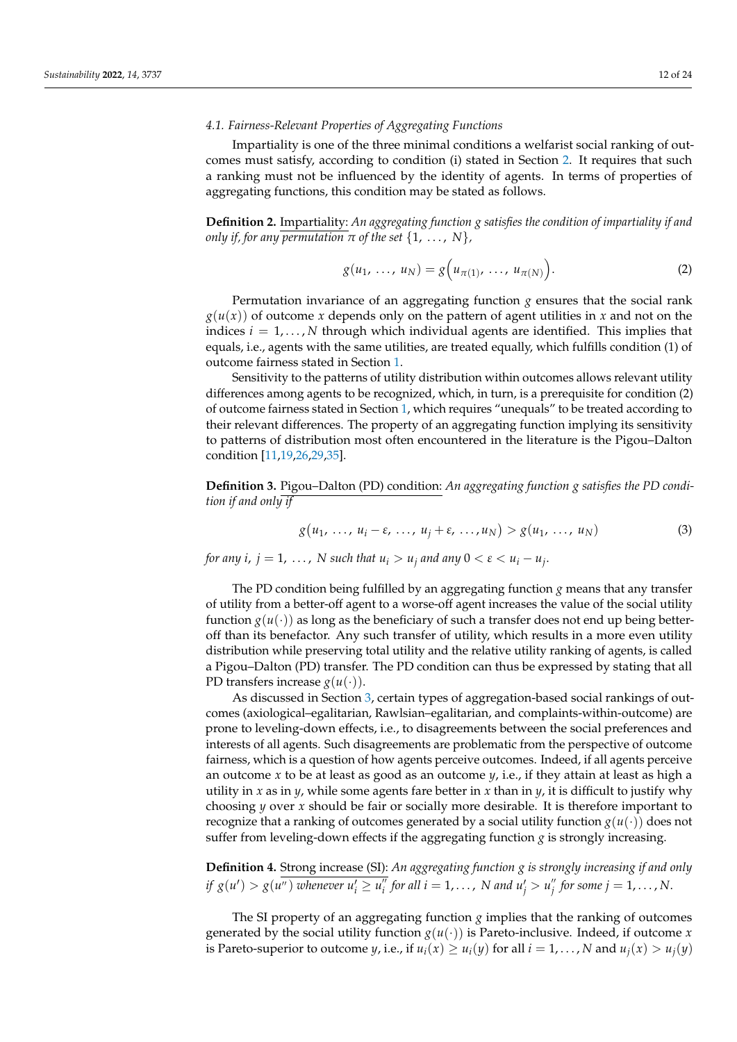## <span id="page-11-0"></span>*4.1. Fairness-Relevant Properties of Aggregating Functions*

Impartiality is one of the three minimal conditions a welfarist social ranking of outcomes must satisfy, according to condition (i) stated in Section [2.](#page-4-0) It requires that such a ranking must not be influenced by the identity of agents. In terms of properties of aggregating functions, this condition may be stated as follows.

**Definition 2.** Impartiality: *An aggregating function g satisfies the condition of impartiality if and only if, for any permutation*  $\pi$  *of the set*  $\{1, \ldots, N\}$ ,

$$
g(u_1, \ldots, u_N) = g\Big(u_{\pi(1)}, \ldots, u_{\pi(N)}\Big).
$$
 (2)

Permutation invariance of an aggregating function  $g$  ensures that the social rank  $g(u(x))$  of outcome *x* depends only on the pattern of agent utilities in *x* and not on the indices  $i = 1, \ldots, N$  through which individual agents are identified. This implies that equals, i.e., agents with the same utilities, are treated equally, which fulfills condition (1) of outcome fairness stated in Section [1.](#page-0-0)

Sensitivity to the patterns of utility distribution within outcomes allows relevant utility differences among agents to be recognized, which, in turn, is a prerequisite for condition (2) of outcome fairness stated in Section [1,](#page-0-0) which requires "unequals" to be treated according to their relevant differences. The property of an aggregating function implying its sensitivity to patterns of distribution most often encountered in the literature is the Pigou–Dalton condition [\[11,](#page-22-7)[19,](#page-22-14)[26,](#page-22-21)[29,](#page-22-24)[35\]](#page-22-30).

**Definition 3.** Pigou–Dalton (PD) condition: *An aggregating function g satisfies the PD condition if and only if*

$$
g(u_1, \ldots, u_i - \varepsilon, \ldots, u_j + \varepsilon, \ldots, u_N) > g(u_1, \ldots, u_N)
$$
 (3)

*for any i, j* = 1, ..., *N* such that  $u_i > u_j$  and any  $0 < \varepsilon < u_i - u_j$ .

The PD condition being fulfilled by an aggregating function *g* means that any transfer of utility from a better-off agent to a worse-off agent increases the value of the social utility function  $g(u(\cdot))$  as long as the beneficiary of such a transfer does not end up being betteroff than its benefactor. Any such transfer of utility, which results in a more even utility distribution while preserving total utility and the relative utility ranking of agents, is called a Pigou–Dalton (PD) transfer. The PD condition can thus be expressed by stating that all PD transfers increase  $g(u(\cdot))$ .

As discussed in Section [3,](#page-6-0) certain types of aggregation-based social rankings of outcomes (axiological–egalitarian, Rawlsian–egalitarian, and complaints-within-outcome) are prone to leveling-down effects, i.e., to disagreements between the social preferences and interests of all agents. Such disagreements are problematic from the perspective of outcome fairness, which is a question of how agents perceive outcomes. Indeed, if all agents perceive an outcome *x* to be at least as good as an outcome *y*, i.e., if they attain at least as high a utility in *x* as in *y*, while some agents fare better in *x* than in *y*, it is difficult to justify why choosing *y* over *x* should be fair or socially more desirable. It is therefore important to recognize that a ranking of outcomes generated by a social utility function  $g(u(\cdot))$  does not suffer from leveling-down effects if the aggregating function *g* is strongly increasing.

**Definition 4.** Strong increase (SI): *An aggregating function g is strongly increasing if and only if*  $g(u') > g(u'')$  whenever  $u'_i \ge u''_i$  $\frac{m}{i}$  for all  $i = 1, \ldots, \text{ } N$  and  $u_j' > u_j''$  $j^{''}$  for some  $j = 1, \ldots, N$ .

The SI property of an aggregating function *g* implies that the ranking of outcomes generated by the social utility function  $g(u(\cdot))$  is Pareto-inclusive. Indeed, if outcome *x* is Pareto-superior to outcome *y*, i.e., if  $u_i(x) \ge u_i(y)$  for all  $i = 1, ..., N$  and  $u_i(x) > u_i(y)$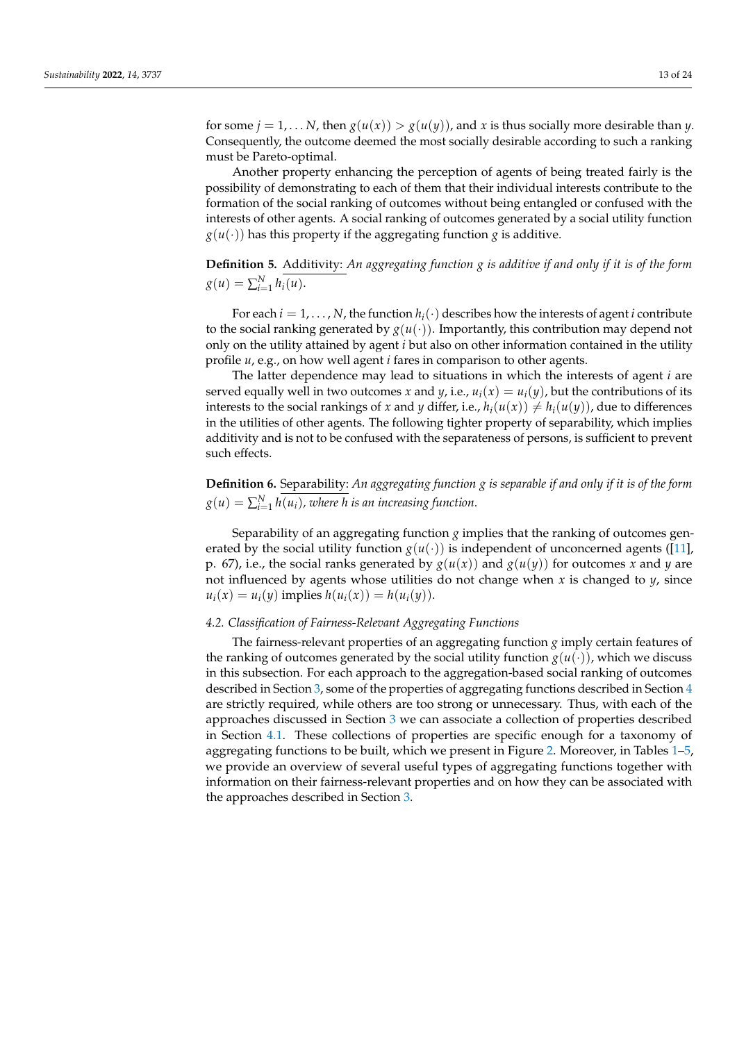for some  $j = 1, \ldots N$ , then  $g(u(x)) > g(u(y))$ , and *x* is thus socially more desirable than *y*. Consequently, the outcome deemed the most socially desirable according to such a ranking must be Pareto-optimal.

Another property enhancing the perception of agents of being treated fairly is the possibility of demonstrating to each of them that their individual interests contribute to the formation of the social ranking of outcomes without being entangled or confused with the interests of other agents. A social ranking of outcomes generated by a social utility function  $g(u(\cdot))$  has this property if the aggregating function *g* is additive.

**Definition 5.** Additivity: *An aggregating function g is additive if and only if it is of the form*  $g(u) = \sum_{i=1}^{N} h_i(u).$ 

For each  $i = 1, \ldots, N$ , the function  $h_i(\cdot)$  describes how the interests of agent *i* contribute to the social ranking generated by  $g(u(\cdot))$ . Importantly, this contribution may depend not only on the utility attained by agent *i* but also on other information contained in the utility profile *u*, e.g., on how well agent *i* fares in comparison to other agents.

The latter dependence may lead to situations in which the interests of agent *i* are served equally well in two outcomes *x* and *y*, i.e.,  $u_i(x) = u_i(y)$ , but the contributions of its interests to the social rankings of *x* and *y* differ, i.e.,  $h_i(u(x)) \neq h_i(u(y))$ , due to differences in the utilities of other agents. The following tighter property of separability, which implies additivity and is not to be confused with the separateness of persons, is sufficient to prevent such effects.

**Definition 6.** Separability: *An aggregating function g is separable if and only if it is of the form*  $g(u) = \sum_{i=1}^N h(u_i)$ , where h is an increasing function.

Separability of an aggregating function *g* implies that the ranking of outcomes generated by the social utility function  $g(u(\cdot))$  is independent of unconcerned agents ([\[11\]](#page-22-7), p. 67), i.e., the social ranks generated by  $g(u(x))$  and  $g(u(y))$  for outcomes *x* and *y* are not influenced by agents whose utilities do not change when *x* is changed to *y*, since  $u_i(x) = u_i(y)$  implies  $h(u_i(x)) = h(u_i(y))$ .

#### <span id="page-12-0"></span>*4.2. Classification of Fairness-Relevant Aggregating Functions*

The fairness-relevant properties of an aggregating function *g* imply certain features of the ranking of outcomes generated by the social utility function  $g(u(\cdot))$ , which we discuss in this subsection. For each approach to the aggregation-based social ranking of outcomes described in Section [3,](#page-6-0) some of the properties of aggregating functions described in Section [4](#page-10-0) are strictly required, while others are too strong or unnecessary. Thus, with each of the approaches discussed in Section [3](#page-6-0) we can associate a collection of properties described in Section [4.1.](#page-11-0) These collections of properties are specific enough for a taxonomy of aggregating functions to be built, which we present in Figure [2.](#page-13-0) Moreover, in Tables [1–](#page-14-0)[5,](#page-17-0) we provide an overview of several useful types of aggregating functions together with information on their fairness-relevant properties and on how they can be associated with the approaches described in Section [3.](#page-6-0)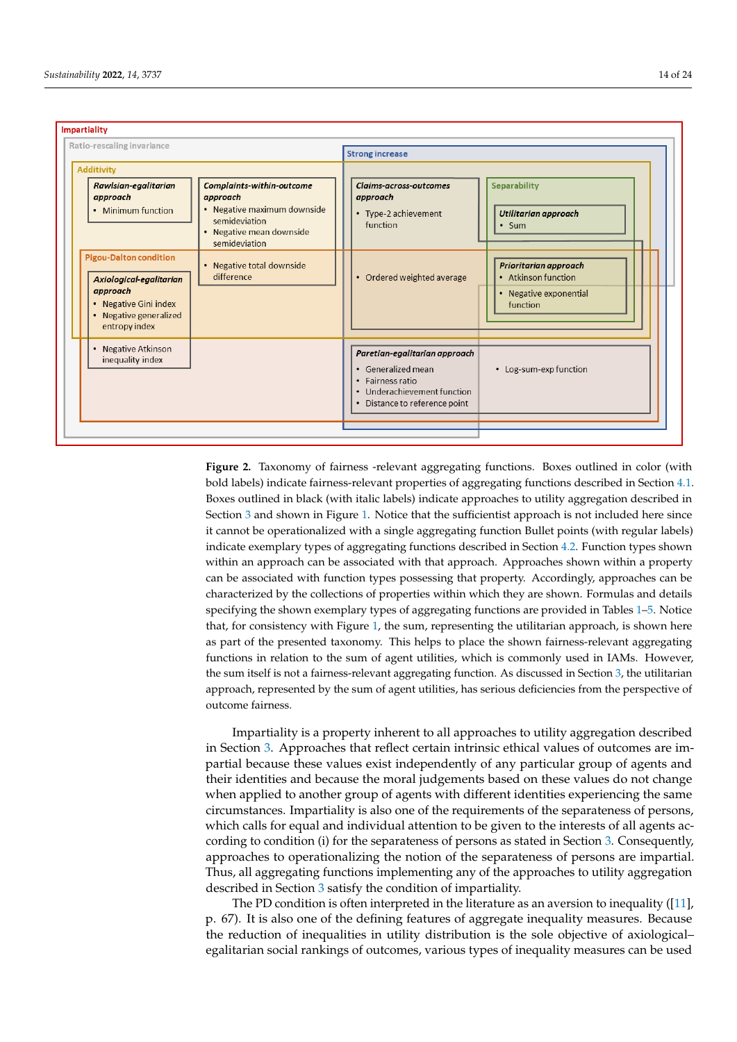<span id="page-13-0"></span>

**Figure 2.** Taxonomy of fairness -relevant aggregating functions. Boxes outlined in color (with bold bold labels) indicate fairness-relevant properties of aggregating functions described in Section [4.1.](#page-11-0) Boxes outlined in black (with italic labels) indicate approaches to utility aggregation described in Section  $3$  and s[how](#page-6-0)n in Figure 1. Notic[e t](#page-6-1)hat the sufficientist approach is not included here since it cannot be operationalized with a single aggregating function Bullet points (with regular labels) indicate exemplary types of aggregating functions described in Sect[ion](#page-12-0) 4.2. Function types shown within an approach can be associated with that approach. Approaches shown within a property can be associated with function types possessing that property. Accordingly, approaches can be characterized by the collections of properties within which they are shown. Formulas and details specifying the shown exemplary types of aggregating functions are provided in Tables  $1-5$ . Notice sistematic with Figure 1, the sum, representing the utility of the utility of the utility of the utility of the utility of the utility of the utility of the utility of the utility of the utility of the utility of the utili that, for consistency with Figure [1,](#page-6-1) the sum, representing the utilitarian approach, is shown here as part of the presented taxonomy. This helps to place the shown fairness-relevant aggregating functions in relation to the sum of agent utilities, which is commonly used in IAMs. However, the sum itself is not a fairness-relevant aggregating function. As discussed in Section  $3$ , the utilitarian approach, represented by the sum of agent utilities, has serious deficiencies from the perspective of **Figure 2.** Taxonomy of fairness -relevant aggregating functions. Boxes outlined in color (with outcome fairness.

Impartiality is a property inherent to all approaches to utility aggregation described in Section 3. Approaches that reflect certain intrinsic ethical values of outcomes are impartial because these values exist independently of any particular group of agents and their identities and because the moral judgements based on these values do not change when applied to another group of agents with different identities experiencing the same circumstances. Impartiality is also one of the requirements of the separateness of persons, which calls for equal and individual attention to be given to the interests of all agents ac-cording to condition (i) for the separateness of persons as stated in Section [3.](#page-6-0) Consequently, approaches to operationalizing the notion of the separateness of persons are impartial. Thus, all aggregating functions implementing any of the approaches to utility aggregation The Policini State is often interpreted in the literature as an aversion to include the literature as an aversion to include the literature as an aversion to include the literature as an aversion to include the literature described in Section [3](#page-6-0) satisfy the condition of impartiality.

The PD condition is often interpreted in the literature as an aversion to inequality ([\[11\]](#page-22-7),  $\sigma$ p. 67). It is also one of the defining features of aggregate inequality measures. Because the reduction of inequalities in utility distribution is the sole objective of axiological–<br>the reduction of inequalities in utility distribution is the sole objective of axiological– egalitarian social rankings of outcomes, various types of inequality measures can be used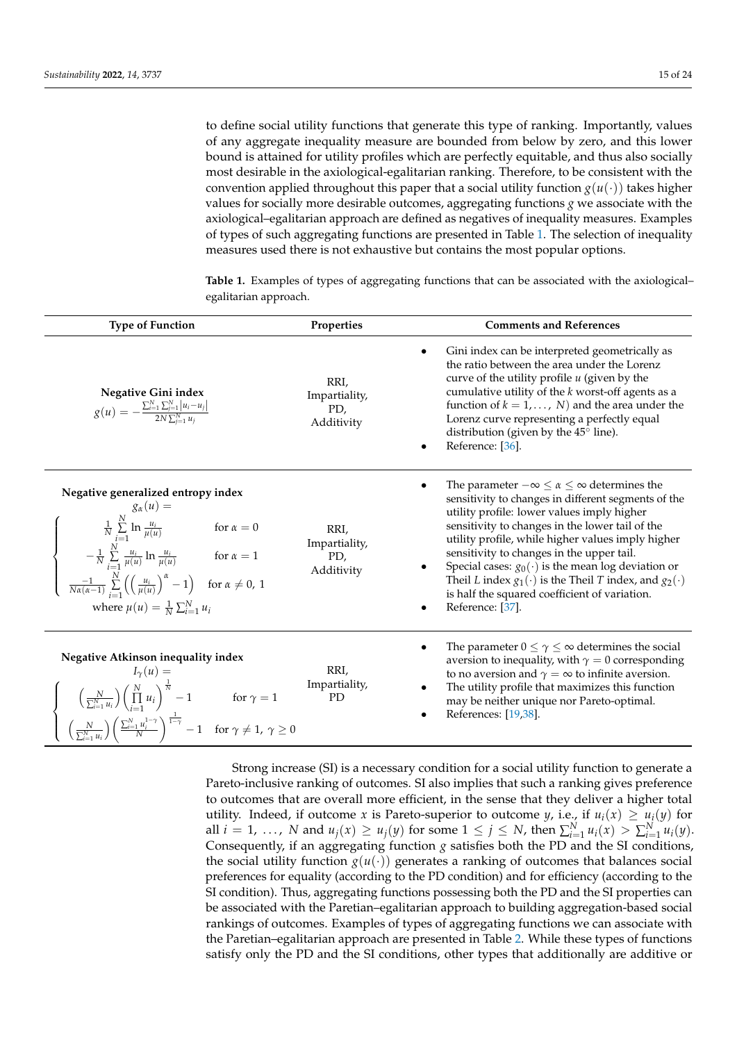to define social utility functions that generate this type of ranking. Importantly, values of any aggregate inequality measure are bounded from below by zero, and this lower bound is attained for utility profiles which are perfectly equitable, and thus also socially most desirable in the axiological-egalitarian ranking. Therefore, to be consistent with the convention applied throughout this paper that a social utility function  $g(u(\cdot))$  takes higher values for socially more desirable outcomes, aggregating functions *g* we associate with the axiological–egalitarian approach are defined as negatives of inequality measures. Examples of types of such aggregating functions are presented in Table [1.](#page-14-0) The selection of inequality measures used there is not exhaustive but contains the most popular options.

| <b>Type of Function</b>                                                                                                                                                                                                                                                                                                                                                                                   | Properties                                 | <b>Comments and References</b>                                                                                                                                                                                                                                                                                                                                                                                                                                                                                                 |
|-----------------------------------------------------------------------------------------------------------------------------------------------------------------------------------------------------------------------------------------------------------------------------------------------------------------------------------------------------------------------------------------------------------|--------------------------------------------|--------------------------------------------------------------------------------------------------------------------------------------------------------------------------------------------------------------------------------------------------------------------------------------------------------------------------------------------------------------------------------------------------------------------------------------------------------------------------------------------------------------------------------|
| Negative Gini index<br>$g(u) = -\frac{\sum_{i=1}^{N} \sum_{j=1}^{N}  u_i - u_j }{2N \sum_{i=1}^{N} u_i}$                                                                                                                                                                                                                                                                                                  | RRI,<br>Impartiality,<br>PD,<br>Additivity | Gini index can be interpreted geometrically as<br>$\bullet$<br>the ratio between the area under the Lorenz<br>curve of the utility profile $u$ (given by the<br>cumulative utility of the $k$ worst-off agents as a<br>function of $k = 1, , N$ and the area under the<br>Lorenz curve representing a perfectly equal<br>distribution (given by the 45° line).<br>Reference: [36].                                                                                                                                             |
| Negative generalized entropy index<br>$g_{\alpha}(u) =$<br>$\frac{1}{N} \sum_{i=1}^{N} \ln \frac{u_i}{\mu(u)}$ for $\alpha = 0$<br>$-\frac{1}{N} \sum_{i=1}^{N} \frac{u_i}{\mu(u)} \ln \frac{u_i}{\mu(u)}$ for $\alpha = 1$<br>$\frac{-1}{N\alpha(\alpha-1)}\sum_{i=1}^N\left(\left(\frac{u_i}{\mu(u)}\right)^{\alpha}-1\right)$ for $\alpha\neq 0, 1$<br>where $\mu(u) = \frac{1}{N} \sum_{i=1}^{N} u_i$ | RRI.<br>Impartiality,<br>PD,<br>Additivity | The parameter $-\infty \leq \alpha \leq \infty$ determines the<br>sensitivity to changes in different segments of the<br>utility profile: lower values imply higher<br>sensitivity to changes in the lower tail of the<br>utility profile, while higher values imply higher<br>sensitivity to changes in the upper tail.<br>Special cases: $g_0(\cdot)$ is the mean log deviation or<br>Theil L index $g_1(\cdot)$ is the Theil T index, and $g_2(\cdot)$<br>is half the squared coefficient of variation.<br>Reference: [37]. |
| Negative Atkinson inequality index<br>$I_{\gamma}(u) =$<br>$\left(\frac{N}{\sum_{i=1}^{N} u_i}\right) \left(\prod_{i=1}^{N} u_i\right)^{\frac{1}{N}} - 1 \quad \text{for } \gamma = 1$<br>$\left(\frac{N}{\sum_{i=1}^{N} u_i}\right) \left(\frac{\sum_{i=1}^{N} u_i^{1-\gamma}}{N}\right)^{\frac{1}{1-\gamma}} - 1 \quad \text{for } \gamma \neq 1, \ \gamma \geq 0$                                      | RRI,<br>Impartiality,<br><b>PD</b>         | The parameter $0 \leq \gamma \leq \infty$ determines the social<br>aversion to inequality, with $\gamma = 0$ corresponding<br>to no aversion and $\gamma = \infty$ to infinite aversion.<br>The utility profile that maximizes this function<br>$\bullet$<br>may be neither unique nor Pareto-optimal.<br>References: [19,38].<br>$\bullet$                                                                                                                                                                                    |

<span id="page-14-0"></span>**Table 1.** Examples of types of aggregating functions that can be associated with the axiological– egalitarian approach.

Strong increase (SI) is a necessary condition for a social utility function to generate a Pareto-inclusive ranking of outcomes. SI also implies that such a ranking gives preference to outcomes that are overall more efficient, in the sense that they deliver a higher total utility. Indeed, if outcome *x* is Pareto-superior to outcome *y*, i.e., if  $u_i(x) \geq u_i(y)$  for all  $i = 1, ..., N$  and  $u_j(x) \ge u_j(y)$  for some  $1 \le j \le N$ , then  $\sum_{i=1}^{N} u_i(x) > \sum_{i=1}^{N} u_i(y)$ . Consequently, if an aggregating function *g* satisfies both the PD and the SI conditions, the social utility function  $g(u(\cdot))$  generates a ranking of outcomes that balances social preferences for equality (according to the PD condition) and for efficiency (according to the SI condition). Thus, aggregating functions possessing both the PD and the SI properties can be associated with the Paretian–egalitarian approach to building aggregation-based social rankings of outcomes. Examples of types of aggregating functions we can associate with the Paretian–egalitarian approach are presented in Table [2.](#page-15-0) While these types of functions satisfy only the PD and the SI conditions, other types that additionally are additive or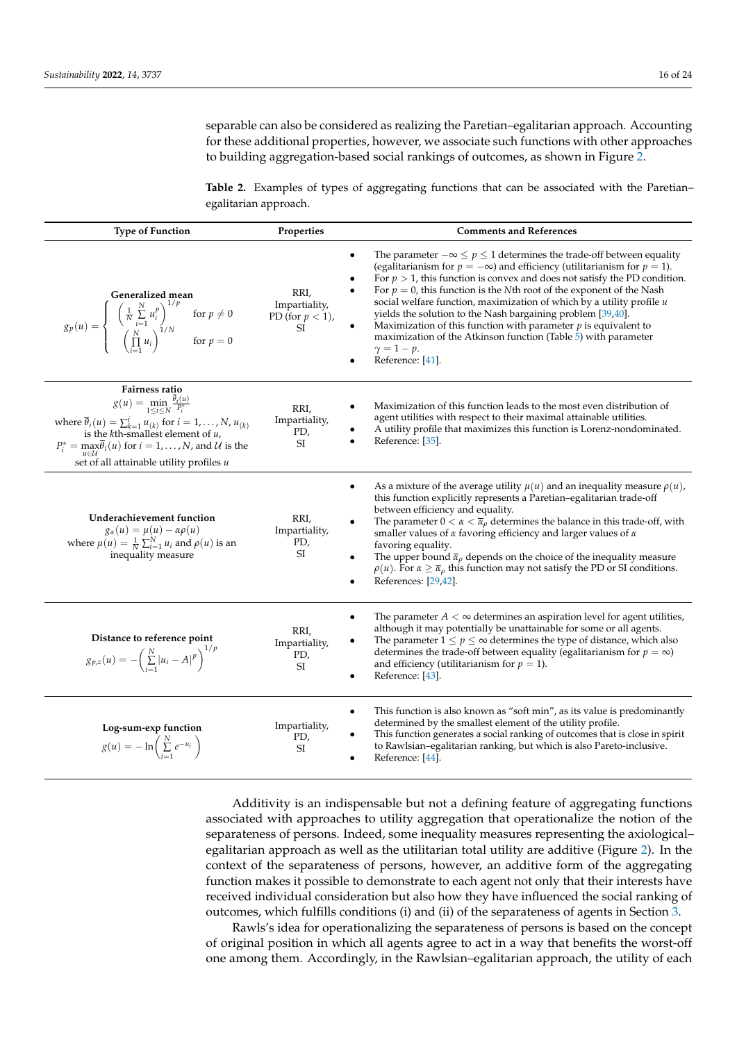separable can also be considered as realizing the Paretian–egalitarian approach. Accounting for these additional properties, however, we associate such functions with other approaches to building aggregation-based social rankings of outcomes, as shown in Figure [2.](#page-13-0)

<span id="page-15-0"></span>**Table 2.** Examples of types of aggregating functions that can be associated with the Paretian– egalitarian approach.

| <b>Type of Function</b>                                                                                                                                                                                                                                                                                                                                    | Properties                                        | <b>Comments and References</b>                                                                                                                                                                                                                                                                                                                                                                                                                                                                                                                                                                                                                                                                    |
|------------------------------------------------------------------------------------------------------------------------------------------------------------------------------------------------------------------------------------------------------------------------------------------------------------------------------------------------------------|---------------------------------------------------|---------------------------------------------------------------------------------------------------------------------------------------------------------------------------------------------------------------------------------------------------------------------------------------------------------------------------------------------------------------------------------------------------------------------------------------------------------------------------------------------------------------------------------------------------------------------------------------------------------------------------------------------------------------------------------------------------|
| Generalized mean<br>$g_p(u) = \begin{cases} \left(\frac{N}{N}\sum_{i=1}^{N} u_i^p\right)^{1/p} & \text{for } p \neq 0 \\ \left(\prod_{i=1}^{N} u_i\right)^{1/N} & \text{for } p = 0 \end{cases}$                                                                                                                                                           | RRI,<br>Impartiality,<br>PD (for $p < 1$ ),<br>SI | The parameter $-\infty \le p \le 1$ determines the trade-off between equality<br>$\bullet$<br>(egalitarianism for $p = -\infty$ ) and efficiency (utilitarianism for $p = 1$ ).<br>For $p > 1$ , this function is convex and does not satisfy the PD condition.<br>For $p = 0$ , this function is the Nth root of the exponent of the Nash<br>social welfare function, maximization of which by a utility profile u<br>yields the solution to the Nash bargaining problem [39,40].<br>Maximization of this function with parameter $p$ is equivalent to<br>maximization of the Atkinson function (Table 5) with parameter<br>$\gamma = 1 - p$ .<br>Reference: [41].                               |
| Fairness ratio<br>$g(u) = \min_{1 \leq i \leq N} \frac{\overline{\theta}_i(u)}{P_i^*}$<br>where $\overline{\theta}_i(u) = \sum_{k=1}^i u_{(k)}$ for $i = 1, \ldots, N, u_{(k)}$<br>is the k <sup>th</sup> -smallest element of u,<br>$P_i^* = \max \overline{\theta}_i(u)$ for $i = 1, , N$ , and $U$ is the<br>set of all attainable utility profiles $u$ | RRI,<br>Impartiality,<br>PD,<br><b>SI</b>         | Maximization of this function leads to the most even distribution of<br>agent utilities with respect to their maximal attainable utilities.<br>A utility profile that maximizes this function is Lorenz-nondominated.<br>Reference: [35].                                                                                                                                                                                                                                                                                                                                                                                                                                                         |
| Underachievement function<br>$g_{\alpha}(u) = \mu(u) - \alpha \rho(u)$<br>where $\mu(u) = \frac{1}{N} \sum_{i=1}^{N} u_i$ and $\rho(u)$ is an<br>inequality measure                                                                                                                                                                                        | RRI,<br>Impartiality,<br>PD,<br>SI                | As a mixture of the average utility $\mu(u)$ and an inequality measure $\rho(u)$ ,<br>$\bullet$<br>this function explicitly represents a Paretian-egalitarian trade-off<br>between efficiency and equality.<br>$\bullet$<br>The parameter $0 < \alpha < \overline{\alpha}_{\rho}$ determines the balance in this trade-off, with<br>smaller values of $\alpha$ favoring efficiency and larger values of $\alpha$<br>favoring equality.<br>The upper bound $\bar{\alpha}_{\rho}$ depends on the choice of the inequality measure<br>$\bullet$<br>$\rho(u)$ . For $\alpha \ge \overline{\alpha}_{\rho}$ this function may not satisfy the PD or SI conditions.<br>References: [29,42].<br>$\bullet$ |
| Distance to reference point<br>$g_{p,z}(u) = -\left(\sum_{i=1}^N  u_i - A ^p\right)^{1/p}$                                                                                                                                                                                                                                                                 | RRI,<br>Impartiality,<br>PD,<br>SI                | The parameter $A < \infty$ determines an aspiration level for agent utilities,<br>although it may potentially be unattainable for some or all agents.<br>The parameter $1 \le p \le \infty$ determines the type of distance, which also<br>determines the trade-off between equality (egalitarianism for $p = \infty$ )<br>and efficiency (utilitarianism for $p = 1$ ).<br>Reference: [43].<br>$\bullet$                                                                                                                                                                                                                                                                                         |
| Log-sum-exp function<br>$g(u) = -\ln\left(\sum_{i=1}^N e^{-u_i}\right)$                                                                                                                                                                                                                                                                                    | Impartiality,<br>PD,<br>SI                        | This function is also known as "soft min", as its value is predominantly<br>$\bullet$<br>determined by the smallest element of the utility profile.<br>This function generates a social ranking of outcomes that is close in spirit<br>to Rawlsian-egalitarian ranking, but which is also Pareto-inclusive.<br>Reference: [44].                                                                                                                                                                                                                                                                                                                                                                   |

Additivity is an indispensable but not a defining feature of aggregating functions associated with approaches to utility aggregation that operationalize the notion of the separateness of persons. Indeed, some inequality measures representing the axiological– egalitarian approach as well as the utilitarian total utility are additive (Figure [2\)](#page-13-0). In the context of the separateness of persons, however, an additive form of the aggregating function makes it possible to demonstrate to each agent not only that their interests have received individual consideration but also how they have influenced the social ranking of outcomes, which fulfills conditions (i) and (ii) of the separateness of agents in Section [3.](#page-6-0)

Rawls's idea for operationalizing the separateness of persons is based on the concept of original position in which all agents agree to act in a way that benefits the worst-off one among them. Accordingly, in the Rawlsian–egalitarian approach, the utility of each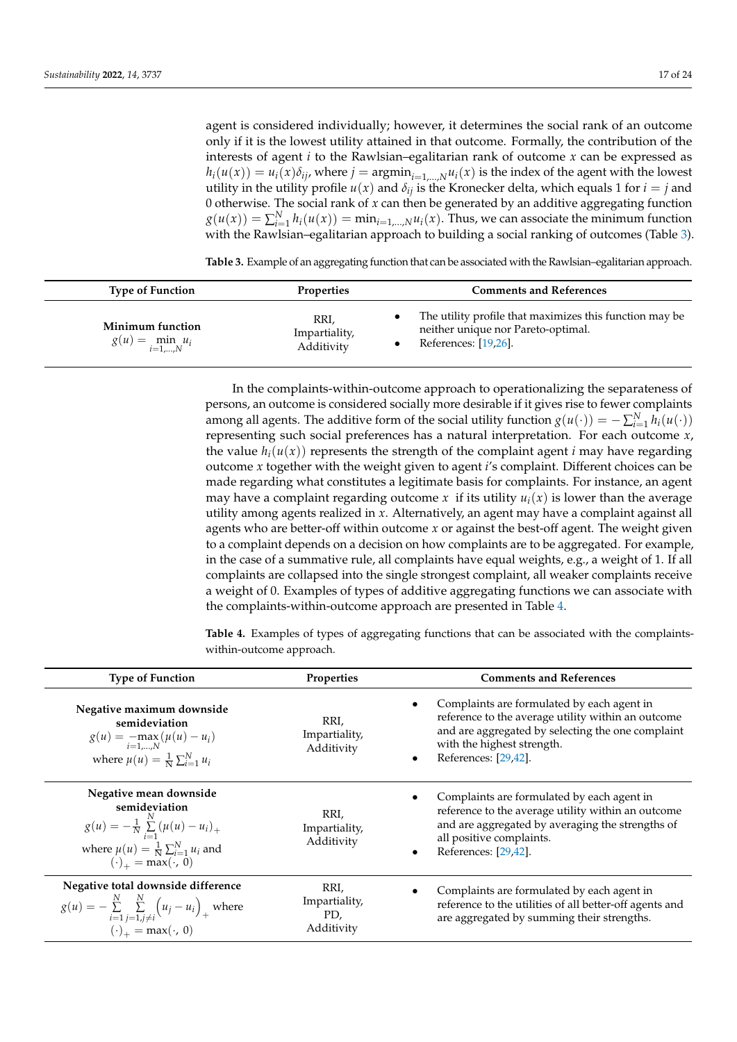agent is considered individually; however, it determines the social rank of an outcome only if it is the lowest utility attained in that outcome. Formally, the contribution of the interests of agent *i* to the Rawlsian–egalitarian rank of outcome *x* can be expressed as  $h_i(u(x)) = u_i(x)\delta_{ij}$ , where  $j = \text{argmin}_{i=1,\dots,N}u_i(x)$  is the index of the agent with the lowest utility in the utility profile  $u(x)$  and  $\delta_{ij}$  is the Kronecker delta, which equals 1 for  $i = j$  and 0 otherwise. The social rank of *x* can then be generated by an additive aggregating function  $g(u(x)) = \sum_{i=1}^{N} h_i(u(x)) = \min_{i=1,\dots,N} u_i(x)$ . Thus, we can associate the minimum function with the Rawlsian–egalitarian approach to building a social ranking of outcomes (Table [3\)](#page-16-0).

<span id="page-16-0"></span>**Table 3.** Example of an aggregating function that can be associated with the Rawlsian–egalitarian approach.

| <b>Type of Function</b>                        | <b>Properties</b>                   | <b>Comments and References</b>                                                                                        |
|------------------------------------------------|-------------------------------------|-----------------------------------------------------------------------------------------------------------------------|
| Minimum function<br>$g(u) = \min_{i=1,,N} u_i$ | RRI,<br>Impartiality,<br>Additivity | The utility profile that maximizes this function may be<br>neither unique nor Pareto-optimal.<br>References: [19,26]. |

In the complaints-within-outcome approach to operationalizing the separateness of persons, an outcome is considered socially more desirable if it gives rise to fewer complaints among all agents. The additive form of the social utility function  $g(u(\cdot)) = -\sum_{i=1}^{N} h_i(u(\cdot))$ representing such social preferences has a natural interpretation. For each outcome *x*, the value  $h_i(u(x))$  represents the strength of the complaint agent *i* may have regarding outcome *x* together with the weight given to agent *i*'s complaint. Different choices can be made regarding what constitutes a legitimate basis for complaints. For instance, an agent may have a complaint regarding outcome *x* if its utility  $u_i(x)$  is lower than the average utility among agents realized in *x*. Alternatively, an agent may have a complaint against all agents who are better-off within outcome *x* or against the best-off agent. The weight given to a complaint depends on a decision on how complaints are to be aggregated. For example, in the case of a summative rule, all complaints have equal weights, e.g., a weight of 1. If all complaints are collapsed into the single strongest complaint, all weaker complaints receive a weight of 0. Examples of types of additive aggregating functions we can associate with the complaints-within-outcome approach are presented in Table [4.](#page-16-1)

<span id="page-16-1"></span>**Table 4.** Examples of types of aggregating functions that can be associated with the complaintswithin-outcome approach.

| <b>Type of Function</b>                                                                                                                                                                   | <b>Properties</b>                          | <b>Comments and References</b>                                                                                                                                                                                           |
|-------------------------------------------------------------------------------------------------------------------------------------------------------------------------------------------|--------------------------------------------|--------------------------------------------------------------------------------------------------------------------------------------------------------------------------------------------------------------------------|
| Negative maximum downside<br>semideviation<br>$g(u) = -\max_{i=1,,N} (\mu(u) - u_i)$<br>where $\mu(u) = \frac{1}{N} \sum_{i=1}^{N} u_i$                                                   | RRI,<br>Impartiality,<br>Additivity        | Complaints are formulated by each agent in<br>$\bullet$<br>reference to the average utility within an outcome<br>and are aggregated by selecting the one complaint<br>with the highest strength.<br>References: [29,42]. |
| Negative mean downside<br>semideviation<br>$g(u) = -\frac{1}{N} \sum_{i=1}^{N} (\mu(u) - u_i)_+$<br>where $\mu(u) = \frac{1}{N} \sum_{i=1}^{N} u_i$ and<br>$(\cdot)_{+} = \max(\cdot, 0)$ | RRI,<br>Impartiality,<br>Additivity        | Complaints are formulated by each agent in<br>$\bullet$<br>reference to the average utility within an outcome<br>and are aggregated by averaging the strengths of<br>all positive complaints.<br>References: [29,42].    |
| Negative total downside difference<br>$g(u) = -\sum_{i=1}^{N} \sum_{j=1, j \neq i}^{N} (u_j - u_i)_{+}$ where<br>$(\cdot)_+ = \max(\cdot, 0)$                                             | RRI,<br>Impartiality,<br>PD,<br>Additivity | Complaints are formulated by each agent in<br>reference to the utilities of all better-off agents and<br>are aggregated by summing their strengths.                                                                      |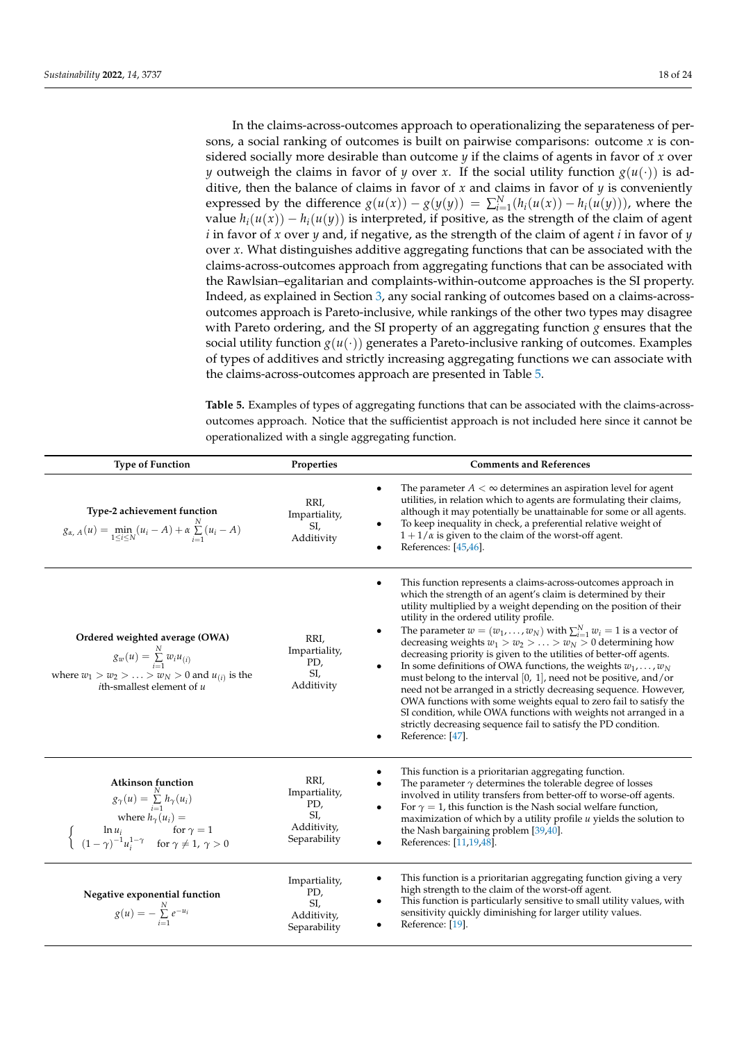In the claims-across-outcomes approach to operationalizing the separateness of persons, a social ranking of outcomes is built on pairwise comparisons: outcome *x* is considered socially more desirable than outcome  $y$  if the claims of agents in favor of  $x$  over *y* outweigh the claims in favor of *y* over *x*. If the social utility function  $g(u(\cdot))$  is additive, then the balance of claims in favor of *x* and claims in favor of *y* is conveniently expressed by the difference  $g(u(x)) - g(y(y)) = \sum_{i=1}^{N} (h_i(u(x)) - h_i(u(y)))$ , where the value  $h_i(u(x)) - h_i(u(y))$  is interpreted, if positive, as the strength of the claim of agent *i* in favor of *x* over *y* and, if negative, as the strength of the claim of agent *i* in favor of *y* over *x*. What distinguishes additive aggregating functions that can be associated with the claims-across-outcomes approach from aggregating functions that can be associated with the Rawlsian–egalitarian and complaints-within-outcome approaches is the SI property. Indeed, as explained in Section [3,](#page-6-0) any social ranking of outcomes based on a claims-acrossoutcomes approach is Pareto-inclusive, while rankings of the other two types may disagree with Pareto ordering, and the SI property of an aggregating function *g* ensures that the social utility function  $g(u(\cdot))$  generates a Pareto-inclusive ranking of outcomes. Examples of types of additives and strictly increasing aggregating functions we can associate with the claims-across-outcomes approach are presented in Table [5.](#page-17-0)

<span id="page-17-0"></span>**Table 5.** Examples of types of aggregating functions that can be associated with the claims-acrossoutcomes approach. Notice that the sufficientist approach is not included here since it cannot be operationalized with a single aggregating function.

| <b>Type of Function</b>                                                                                                                                                                                                                        | Properties                                                         | <b>Comments and References</b>                                                                                                                                                                                                                                                                                                                                                                                                                                                                                                                                                                                                                                                                                                                                                                                                                                                                                                            |
|------------------------------------------------------------------------------------------------------------------------------------------------------------------------------------------------------------------------------------------------|--------------------------------------------------------------------|-------------------------------------------------------------------------------------------------------------------------------------------------------------------------------------------------------------------------------------------------------------------------------------------------------------------------------------------------------------------------------------------------------------------------------------------------------------------------------------------------------------------------------------------------------------------------------------------------------------------------------------------------------------------------------------------------------------------------------------------------------------------------------------------------------------------------------------------------------------------------------------------------------------------------------------------|
| Type-2 achievement function<br>$g_{\alpha, A}(u) = \min_{1 \leq i \leq N} (u_i - A) + \alpha \sum_{i=1}^{N} (u_i - A)$                                                                                                                         | RRI,<br>Impartiality,<br>SI,<br>Additivity                         | The parameter $A < \infty$ determines an aspiration level for agent<br>$\bullet$<br>utilities, in relation which to agents are formulating their claims,<br>although it may potentially be unattainable for some or all agents.<br>To keep inequality in check, a preferential relative weight of<br>$1 + 1/a$ is given to the claim of the worst-off agent.<br>References: [45,46].                                                                                                                                                                                                                                                                                                                                                                                                                                                                                                                                                      |
| Ordered weighted average (OWA)<br>$g_w(u) = \sum_{i=1}^{N} w_i u_{(i)}$<br>where $w_1 > w_2 >  > w_N > 0$ and $u_{(i)}$ is the<br>$i$ th-smallest element of $u$                                                                               | RRI,<br>Impartiality,<br>PD,<br>SI,<br>Additivity                  | This function represents a claims-across-outcomes approach in<br>which the strength of an agent's claim is determined by their<br>utility multiplied by a weight depending on the position of their<br>utility in the ordered utility profile.<br>The parameter $w = (w_1, \dots, w_N)$ with $\sum_{i=1}^{N} w_i = 1$ is a vector of<br>decreasing weights $w_1 > w_2 >  > w_N > 0$ determining how<br>decreasing priority is given to the utilities of better-off agents.<br>In some definitions of OWA functions, the weights $w_1, \ldots, w_N$<br>$\bullet$<br>must belong to the interval $[0, 1]$ , need not be positive, and/or<br>need not be arranged in a strictly decreasing sequence. However,<br>OWA functions with some weights equal to zero fail to satisfy the<br>SI condition, while OWA functions with weights not arranged in a<br>strictly decreasing sequence fail to satisfy the PD condition.<br>Reference: [47]. |
| Atkinson function<br>$g_{\gamma}(u) = \sum_{i=1}^{N} h_{\gamma}(u_i)$ where $h_{\gamma}(u_i) =$ $\begin{cases}\n\ln u_i & \text{for } \gamma = 1 \\ (1 - \gamma)^{-1} u_i^{1 - \gamma} & \text{for } \gamma \neq 1, \ \gamma > 0\n\end{cases}$ | RRI,<br>Impartiality,<br>PD,<br>SI,<br>Additivity,<br>Separability | This function is a prioritarian aggregating function.<br>The parameter $\gamma$ determines the tolerable degree of losses<br>involved in utility transfers from better-off to worse-off agents.<br>For $\gamma = 1$ , this function is the Nash social welfare function,<br>maximization of which by a utility profile $u$ yields the solution to<br>the Nash bargaining problem [39,40].<br>References: [11,19,48].                                                                                                                                                                                                                                                                                                                                                                                                                                                                                                                      |
| Negative exponential function<br>$g(u) = -\sum_{i=1}^{N} e^{-u_i}$                                                                                                                                                                             | Impartiality,<br>PD,<br>SI,<br>Additivity,<br>Separability         | This function is a prioritarian aggregating function giving a very<br>high strength to the claim of the worst-off agent.<br>This function is particularly sensitive to small utility values, with<br>sensitivity quickly diminishing for larger utility values.<br>Reference: [19].                                                                                                                                                                                                                                                                                                                                                                                                                                                                                                                                                                                                                                                       |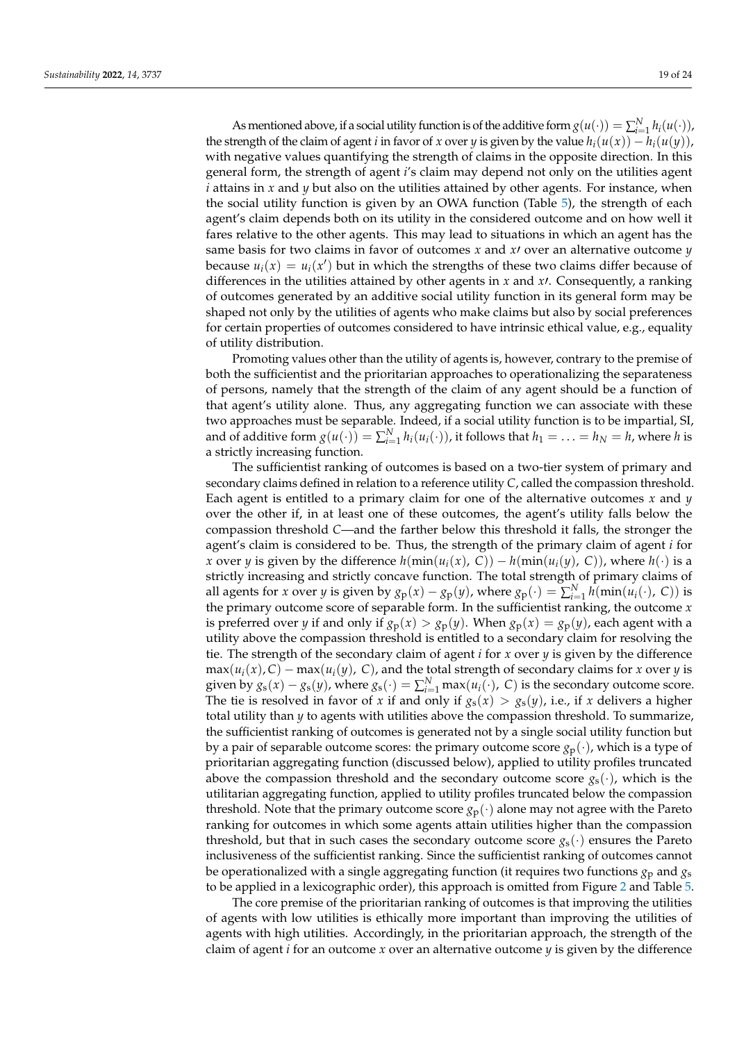As mentioned above, if a social utility function is of the additive form  $g(u(\cdot)) = \sum_{i=1}^{N} h_i(u(\cdot))$ , the strength of the claim of agent *i* in favor of *x* over *y* is given by the value  $h_i(u(x)) - h_i(u(y))$ , with negative values quantifying the strength of claims in the opposite direction. In this general form, the strength of agent *i*'s claim may depend not only on the utilities agent *i* attains in *x* and *y* but also on the utilities attained by other agents. For instance, when the social utility function is given by an OWA function (Table [5\)](#page-17-0), the strength of each agent's claim depends both on its utility in the considered outcome and on how well it fares relative to the other agents. This may lead to situations in which an agent has the same basis for two claims in favor of outcomes  $x$  and  $x$  over an alternative outcome  $y$ because  $u_i(x) = u_i(x')$  but in which the strengths of these two claims differ because of differences in the utilities attained by other agents in *x* and *x*<sup>*t*</sup>. Consequently, a ranking of outcomes generated by an additive social utility function in its general form may be shaped not only by the utilities of agents who make claims but also by social preferences for certain properties of outcomes considered to have intrinsic ethical value, e.g., equality of utility distribution.

Promoting values other than the utility of agents is, however, contrary to the premise of both the sufficientist and the prioritarian approaches to operationalizing the separateness of persons, namely that the strength of the claim of any agent should be a function of that agent's utility alone. Thus, any aggregating function we can associate with these two approaches must be separable. Indeed, if a social utility function is to be impartial, SI, and of additive form  $g(u(\cdot)) = \sum_{i=1}^{N} h_i(u_i(\cdot))$ , it follows that  $h_1 = \ldots = h_N = h$ , where *h* is a strictly increasing function.

The sufficientist ranking of outcomes is based on a two-tier system of primary and secondary claims defined in relation to a reference utility *C*, called the compassion threshold. Each agent is entitled to a primary claim for one of the alternative outcomes *x* and *y* over the other if, in at least one of these outcomes, the agent's utility falls below the compassion threshold *C*—and the farther below this threshold it falls, the stronger the agent's claim is considered to be. Thus, the strength of the primary claim of agent *i* for *x* over *y* is given by the difference  $h(\min(u_i(x), C)) - h(\min(u_i(y), C))$ , where  $h(\cdot)$  is a strictly increasing and strictly concave function. The total strength of primary claims of all agents for *x* over *y* is given by  $g_p(x) - g_p(y)$ , where  $g_p(\cdot) = \sum_{i=1}^{N} h(\min(u_i(\cdot), C))$  is the primary outcome score of separable form. In the sufficientist ranking, the outcome *x* is preferred over *y* if and only if  $g_p(x) > g_p(y)$ . When  $g_p(x) = g_p(y)$ , each agent with a utility above the compassion threshold is entitled to a secondary claim for resolving the tie. The strength of the secondary claim of agent *i* for *x* over *y* is given by the difference  $max(u_i(x), C) - max(u_i(y), C)$ , and the total strength of secondary claims for *x* over *y* is given by  $g_s(x) - g_s(y)$ , where  $g_s(\cdot) = \sum_{i=1}^{N} \max(u_i(\cdot), C)$  is the secondary outcome score. The tie is resolved in favor of *x* if and only if  $g_s(x) > g_s(y)$ , i.e., if *x* delivers a higher total utility than *y* to agents with utilities above the compassion threshold. To summarize, the sufficientist ranking of outcomes is generated not by a single social utility function but by a pair of separable outcome scores: the primary outcome score  $g_p(\cdot)$ , which is a type of prioritarian aggregating function (discussed below), applied to utility profiles truncated above the compassion threshold and the secondary outcome score  $g_s(\cdot)$ , which is the utilitarian aggregating function, applied to utility profiles truncated below the compassion threshold. Note that the primary outcome score  $g_p(\cdot)$  alone may not agree with the Pareto ranking for outcomes in which some agents attain utilities higher than the compassion threshold, but that in such cases the secondary outcome score  $g_s(\cdot)$  ensures the Pareto inclusiveness of the sufficientist ranking. Since the sufficientist ranking of outcomes cannot be operationalized with a single aggregating function (it requires two functions *g*<sup>p</sup> and *g*<sup>s</sup> to be applied in a lexicographic order), this approach is omitted from Figure [2](#page-13-0) and Table [5.](#page-17-0)

The core premise of the prioritarian ranking of outcomes is that improving the utilities of agents with low utilities is ethically more important than improving the utilities of agents with high utilities. Accordingly, in the prioritarian approach, the strength of the claim of agent *i* for an outcome *x* over an alternative outcome *y* is given by the difference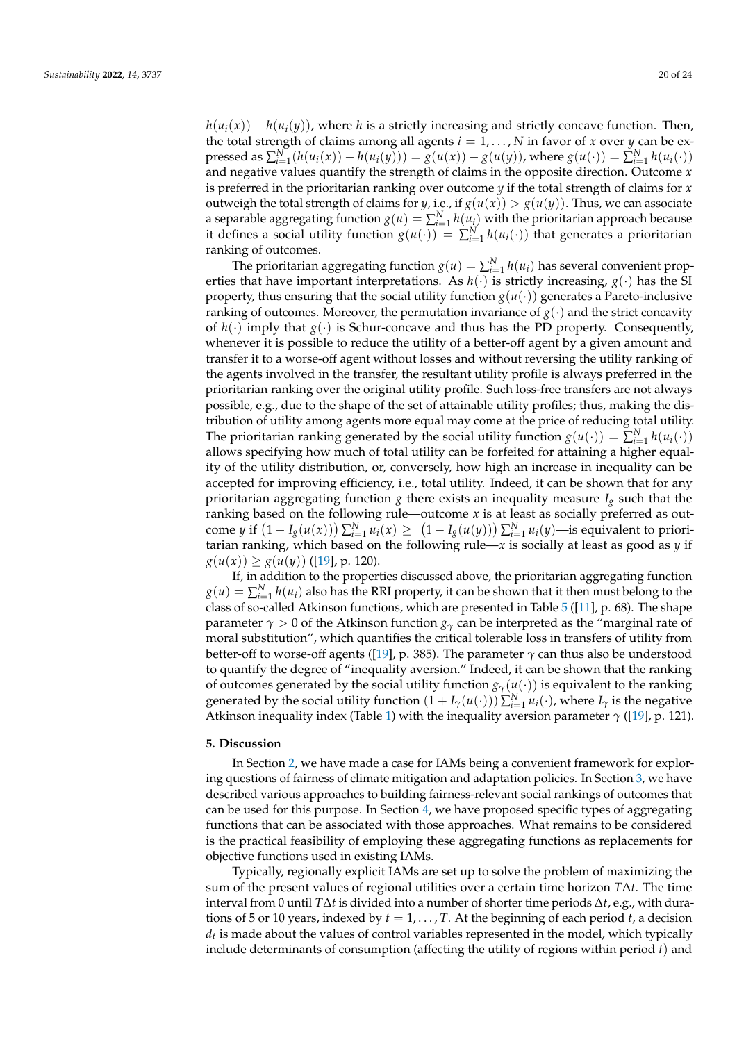$h(u_i(x)) - h(u_i(y))$ , where *h* is a strictly increasing and strictly concave function. Then, the total strength of claims among all agents  $i = 1, \ldots, N$  in favor of *x* over *y* can be expressed as  $\sum_{i=1}^{N} (h(u_i(x)) - h(u_i(y))) = g(u(x)) - g(u(y))$ , where  $g(u(\cdot)) = \sum_{i=1}^{N} h(u_i(\cdot))$ and negative values quantify the strength of claims in the opposite direction. Outcome *x* is preferred in the prioritarian ranking over outcome *y* if the total strength of claims for *x* outweigh the total strength of claims for *y*, i.e., if  $g(u(x)) > g(u(y))$ . Thus, we can associate a separable aggregating function  $g(u) = \sum_{i=1}^{N} h(u_i)$  with the prioritarian approach because it defines a social utility function  $g(u(\cdot)) = \sum_{i=1}^{N} h(u_i(\cdot))$  that generates a prioritarian ranking of outcomes.

The prioritarian aggregating function  $g(u) = \sum_{i=1}^{N} h(u_i)$  has several convenient properties that have important interpretations. As  $h(\cdot)$  is strictly increasing,  $g(\cdot)$  has the SI property, thus ensuring that the social utility function  $g(u(\cdot))$  generates a Pareto-inclusive ranking of outcomes. Moreover, the permutation invariance of  $g(\cdot)$  and the strict concavity of  $h(\cdot)$  imply that  $g(\cdot)$  is Schur-concave and thus has the PD property. Consequently, whenever it is possible to reduce the utility of a better-off agent by a given amount and transfer it to a worse-off agent without losses and without reversing the utility ranking of the agents involved in the transfer, the resultant utility profile is always preferred in the prioritarian ranking over the original utility profile. Such loss-free transfers are not always possible, e.g., due to the shape of the set of attainable utility profiles; thus, making the distribution of utility among agents more equal may come at the price of reducing total utility. The prioritarian ranking generated by the social utility function  $g(u(\cdot)) = \sum_{i=1}^{N} h(u_i(\cdot))$ allows specifying how much of total utility can be forfeited for attaining a higher equality of the utility distribution, or, conversely, how high an increase in inequality can be accepted for improving efficiency, i.e., total utility. Indeed, it can be shown that for any prioritarian aggregating function *g* there exists an inequality measure *I<sup>g</sup>* such that the ranking based on the following rule—outcome *x* is at least as socially preferred as outcome *y* if  $(1 - I_g(u(x))) \sum_{i=1}^N u_i(x) \ge (1 - I_g(u(y))) \sum_{i=1}^N u_i(y)$ —is equivalent to prioritarian ranking, which based on the following rule—*x* is socially at least as good as *y* if  $g(u(x)) \geq g(u(y))$  ([\[19\]](#page-22-14), p. 120).

If, in addition to the properties discussed above, the prioritarian aggregating function  $g(u) = \sum_{i=1}^{N} h(u_i)$  also has the RRI property, it can be shown that it then must belong to the class of so-called Atkinson functions, which are presented in Table  $5$  ([\[11\]](#page-22-7), p. 68). The shape parameter  $\gamma > 0$  of the Atkinson function  $g_{\gamma}$  can be interpreted as the "marginal rate of moral substitution", which quantifies the critical tolerable loss in transfers of utility from better-off to worse-off agents ([\[19\]](#page-22-14), p. 385). The parameter  $\gamma$  can thus also be understood to quantify the degree of "inequality aversion." Indeed, it can be shown that the ranking of outcomes generated by the social utility function  $g_\gamma(u(\cdot))$  is equivalent to the ranking generated by the social utility function  $(1 + I_\gamma(u(\cdot))) \sum_{i=1}^N u_i(\cdot)$ , where  $I_\gamma$  is the negative Atkinson inequality index (Table [1\)](#page-14-0) with the inequality aversion parameter *γ* ([\[19\]](#page-22-14), p. 121).

# <span id="page-19-0"></span>**5. Discussion**

In Section [2,](#page-4-0) we have made a case for IAMs being a convenient framework for exploring questions of fairness of climate mitigation and adaptation policies. In Section [3,](#page-6-0) we have described various approaches to building fairness-relevant social rankings of outcomes that can be used for this purpose. In Section [4,](#page-10-0) we have proposed specific types of aggregating functions that can be associated with those approaches. What remains to be considered is the practical feasibility of employing these aggregating functions as replacements for objective functions used in existing IAMs.

Typically, regionally explicit IAMs are set up to solve the problem of maximizing the sum of the present values of regional utilities over a certain time horizon *T*∆*t*. The time interval from 0 until *T*∆*t* is divided into a number of shorter time periods ∆*t*, e.g., with durations of 5 or 10 years, indexed by  $t = 1, \ldots, T$ . At the beginning of each period  $t$ , a decision  $d_t$  is made about the values of control variables represented in the model, which typically include determinants of consumption (affecting the utility of regions within period *t*) and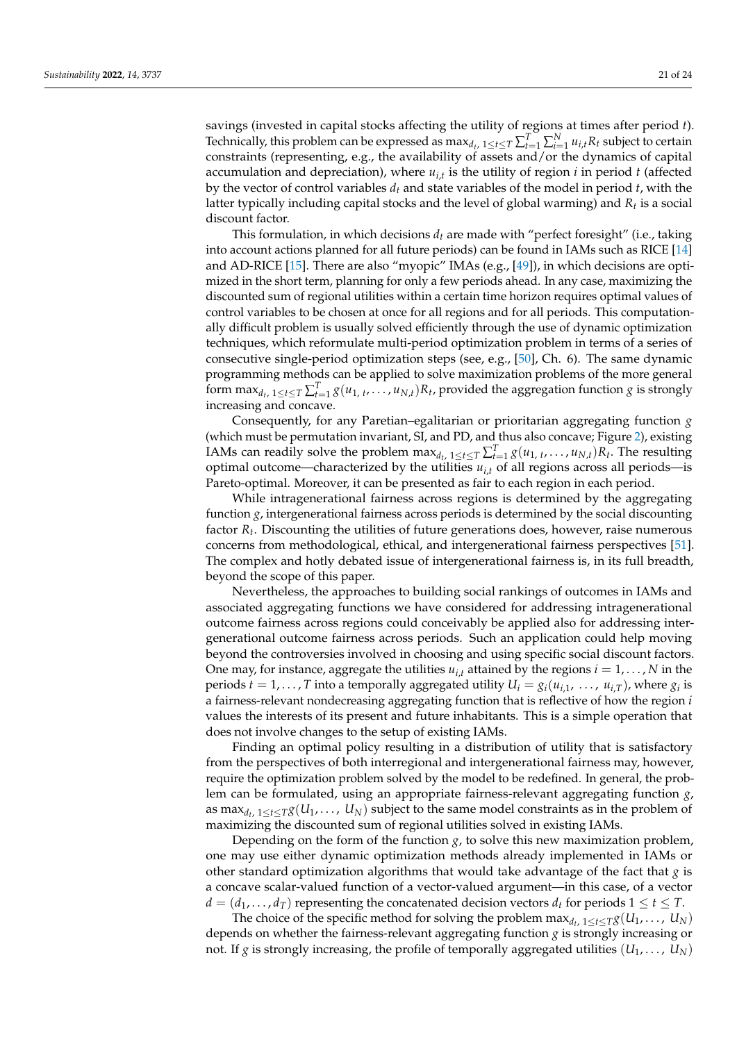savings (invested in capital stocks affecting the utility of regions at times after period *t*). Technically, this problem can be expressed as  $\max_{d_t, 1 \le t \le T} \sum_{t=1}^T \sum_{i=1}^N u_{i,t} R_t$  subject to certain constraints (representing, e.g., the availability of assets and/or the dynamics of capital accumulation and depreciation), where *ui*,*<sup>t</sup>* is the utility of region *i* in period *t* (affected by the vector of control variables  $d_t$  and state variables of the model in period  $t$ , with the latter typically including capital stocks and the level of global warming) and *R<sup>t</sup>* is a social discount factor.

This formulation, in which decisions *d<sup>t</sup>* are made with "perfect foresight" (i.e., taking into account actions planned for all future periods) can be found in IAMs such as RICE [\[14\]](#page-22-10) and AD-RICE [\[15\]](#page-22-11). There are also "myopic" IMAs (e.g., [\[49\]](#page-23-9)), in which decisions are optimized in the short term, planning for only a few periods ahead. In any case, maximizing the discounted sum of regional utilities within a certain time horizon requires optimal values of control variables to be chosen at once for all regions and for all periods. This computationally difficult problem is usually solved efficiently through the use of dynamic optimization techniques, which reformulate multi-period optimization problem in terms of a series of consecutive single-period optimization steps (see, e.g., [\[50\]](#page-23-10), Ch. 6). The same dynamic programming methods can be applied to solve maximization problems of the more general form  $\max_{d_t, 1 \le t \le T} \sum_{t=1}^T g(u_{1, t}, \ldots, u_{N, t}) R_t$ , provided the aggregation function *g* is strongly increasing and concave.

Consequently, for any Paretian–egalitarian or prioritarian aggregating function *g* (which must be permutation invariant, SI, and PD, and thus also concave; Figure [2\)](#page-13-0), existing IAMs can readily solve the problem  $\max_{d_t, 1 \le t \le T} \sum_{t=1}^T g(u_{1, t}, \ldots, u_{N, t}) R_t$ . The resulting optimal outcome—characterized by the utilities  $u_i$ <sup>*t*</sup> of all regions across all periods—is Pareto-optimal. Moreover, it can be presented as fair to each region in each period.

While intragenerational fairness across regions is determined by the aggregating function *g*, intergenerational fairness across periods is determined by the social discounting factor *R<sup>t</sup>* . Discounting the utilities of future generations does, however, raise numerous concerns from methodological, ethical, and intergenerational fairness perspectives [\[51\]](#page-23-11). The complex and hotly debated issue of intergenerational fairness is, in its full breadth, beyond the scope of this paper.

Nevertheless, the approaches to building social rankings of outcomes in IAMs and associated aggregating functions we have considered for addressing intragenerational outcome fairness across regions could conceivably be applied also for addressing intergenerational outcome fairness across periods. Such an application could help moving beyond the controversies involved in choosing and using specific social discount factors. One may, for instance, aggregate the utilities  $u_{i,t}$  attained by the regions  $i = 1, \dots, N$  in the periods  $t = 1, ..., T$  into a temporally aggregated utility  $U_i = g_i(u_{i,1}, ..., u_{i,T})$ , where  $g_i$  is a fairness-relevant nondecreasing aggregating function that is reflective of how the region *i* values the interests of its present and future inhabitants. This is a simple operation that does not involve changes to the setup of existing IAMs.

Finding an optimal policy resulting in a distribution of utility that is satisfactory from the perspectives of both interregional and intergenerational fairness may, however, require the optimization problem solved by the model to be redefined. In general, the problem can be formulated, using an appropriate fairness-relevant aggregating function *g*, as  $\max_{d_t, \ 1 \leq t \leq T} g(U_1, \dots, \ U_N)$  subject to the same model constraints as in the problem of maximizing the discounted sum of regional utilities solved in existing IAMs.

Depending on the form of the function *g*, to solve this new maximization problem, one may use either dynamic optimization methods already implemented in IAMs or other standard optimization algorithms that would take advantage of the fact that *g* is a concave scalar-valued function of a vector-valued argument—in this case, of a vector  $d = (d_1, \ldots, d_T)$  representing the concatenated decision vectors  $d_t$  for periods  $1 \le t \le T$ .

The choice of the specific method for solving the problem  $\max_{d_t, 1 \leq t \leq T} g(U_1, \ldots, U_N)$ depends on whether the fairness-relevant aggregating function *g* is strongly increasing or not. If *g* is strongly increasing, the profile of temporally aggregated utilities  $(U_1, \ldots, U_N)$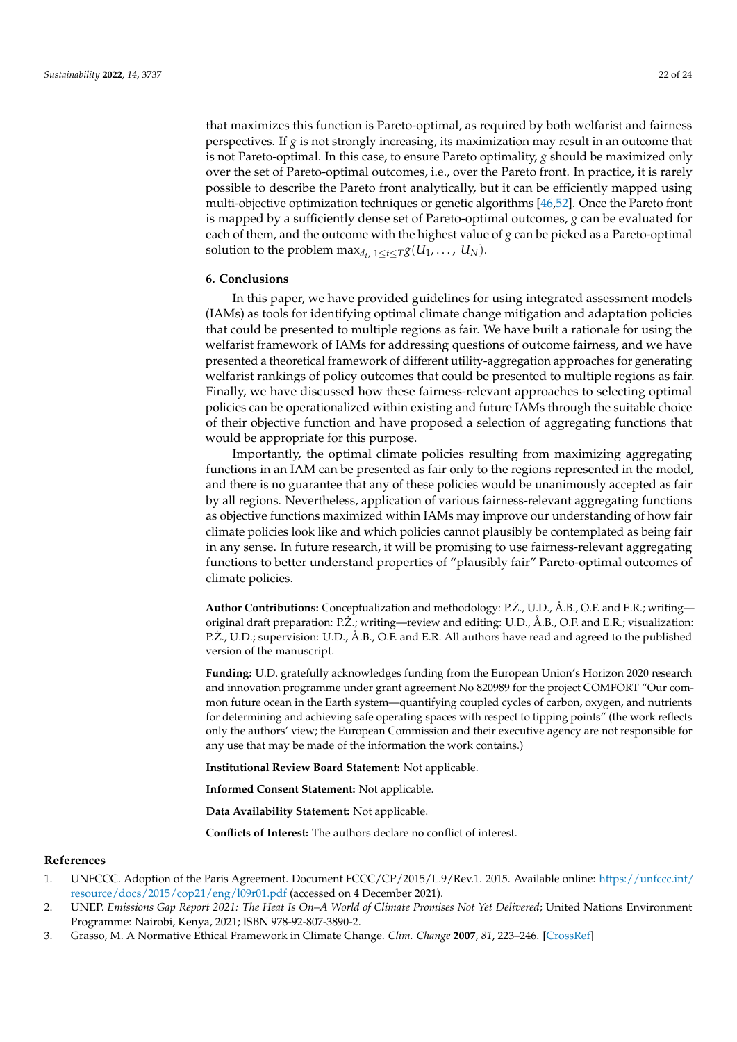that maximizes this function is Pareto-optimal, as required by both welfarist and fairness perspectives. If  $g$  is not strongly increasing, its maximization may result in an outcome that is not Pareto-optimal. In this case, to ensure Pareto optimality, *g* should be maximized only over the set of Pareto-optimal outcomes, i.e., over the Pareto front. In practice, it is rarely possible to describe the Pareto front analytically, but it can be efficiently mapped using multi-objective optimization techniques or genetic algorithms [\[46,](#page-23-6)[52\]](#page-23-12). Once the Pareto front is mapped by a sufficiently dense set of Pareto-optimal outcomes, *g* can be evaluated for each of them, and the outcome with the highest value of *g* can be picked as a Pareto-optimal solution to the problem  $\max_{d_t, 1 \leq t \leq T} g(U_1, \ldots, U_N)$ .

#### <span id="page-21-3"></span>**6. Conclusions**

In this paper, we have provided guidelines for using integrated assessment models (IAMs) as tools for identifying optimal climate change mitigation and adaptation policies that could be presented to multiple regions as fair. We have built a rationale for using the welfarist framework of IAMs for addressing questions of outcome fairness, and we have presented a theoretical framework of different utility-aggregation approaches for generating welfarist rankings of policy outcomes that could be presented to multiple regions as fair. Finally, we have discussed how these fairness-relevant approaches to selecting optimal policies can be operationalized within existing and future IAMs through the suitable choice of their objective function and have proposed a selection of aggregating functions that would be appropriate for this purpose.

Importantly, the optimal climate policies resulting from maximizing aggregating functions in an IAM can be presented as fair only to the regions represented in the model, and there is no guarantee that any of these policies would be unanimously accepted as fair by all regions. Nevertheless, application of various fairness-relevant aggregating functions as objective functions maximized within IAMs may improve our understanding of how fair climate policies look like and which policies cannot plausibly be contemplated as being fair in any sense. In future research, it will be promising to use fairness-relevant aggregating functions to better understand properties of "plausibly fair" Pareto-optimal outcomes of climate policies.

**Author Contributions:** Conceptualization and methodology: P.Z., U.D., Å.B., O.F. and E.R.; writing— ˙ original draft preparation: P.Z.; writing—review and editing: U.D., Å.B., O.F. and E.R.; visualization: ˙ P.Z., U.D.; supervision: U.D., Å.B., O.F. and E.R. All authors have read and agreed to the published version of the manuscript.

**Funding:** U.D. gratefully acknowledges funding from the European Union's Horizon 2020 research and innovation programme under grant agreement No 820989 for the project COMFORT "Our common future ocean in the Earth system—quantifying coupled cycles of carbon, oxygen, and nutrients for determining and achieving safe operating spaces with respect to tipping points" (the work reflects only the authors' view; the European Commission and their executive agency are not responsible for any use that may be made of the information the work contains.)

**Institutional Review Board Statement:** Not applicable.

**Informed Consent Statement:** Not applicable.

**Data Availability Statement:** Not applicable.

**Conflicts of Interest:** The authors declare no conflict of interest.

# **References**

- <span id="page-21-0"></span>1. UNFCCC. Adoption of the Paris Agreement. Document FCCC/CP/2015/L.9/Rev.1. 2015. Available online: [https://unfccc.int/](https://unfccc.int/resource/docs/2015/cop21/eng/l09r01.pdf) [resource/docs/2015/cop21/eng/l09r01.pdf](https://unfccc.int/resource/docs/2015/cop21/eng/l09r01.pdf) (accessed on 4 December 2021).
- <span id="page-21-1"></span>2. UNEP. *Emissions Gap Report 2021: The Heat Is On–A World of Climate Promises Not Yet Delivered*; United Nations Environment Programme: Nairobi, Kenya, 2021; ISBN 978-92-807-3890-2.
- <span id="page-21-2"></span>3. Grasso, M. A Normative Ethical Framework in Climate Change. *Clim. Change* **2007**, *81*, 223–246. [\[CrossRef\]](http://doi.org/10.1007/s10584-006-9158-7)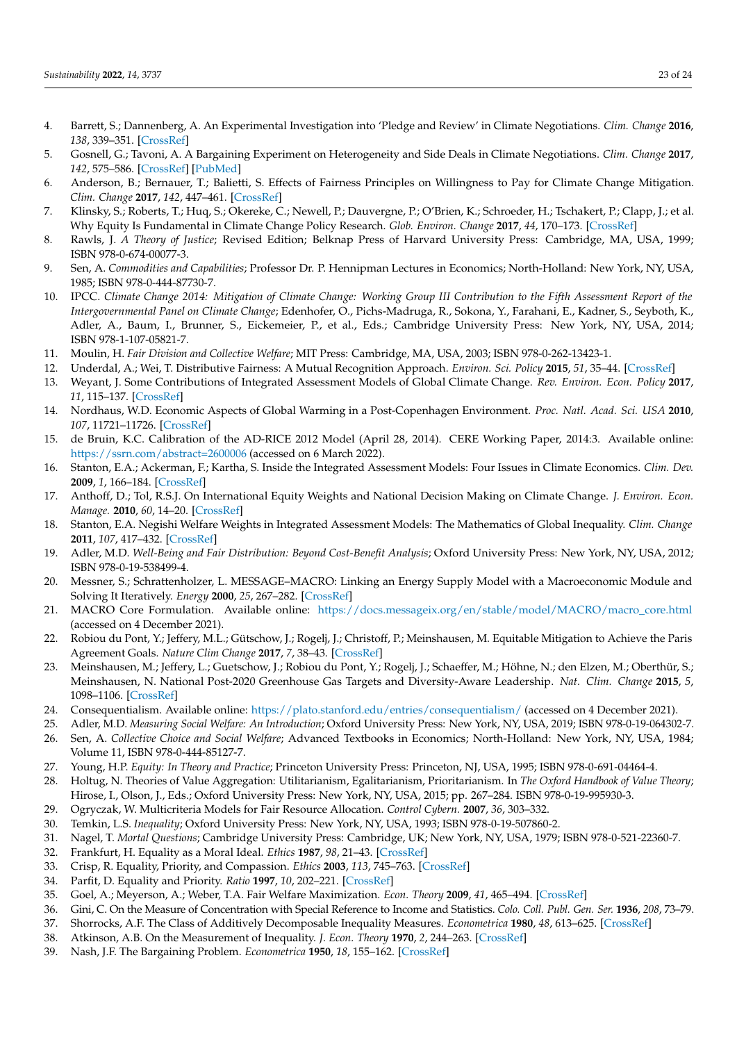- <span id="page-22-0"></span>4. Barrett, S.; Dannenberg, A. An Experimental Investigation into 'Pledge and Review' in Climate Negotiations. *Clim. Change* **2016**, *138*, 339–351. [\[CrossRef\]](http://doi.org/10.1007/s10584-016-1711-4)
- <span id="page-22-1"></span>5. Gosnell, G.; Tavoni, A. A Bargaining Experiment on Heterogeneity and Side Deals in Climate Negotiations. *Clim. Change* **2017**, *142*, 575–586. [\[CrossRef\]](http://doi.org/10.1007/s10584-017-1975-3) [\[PubMed\]](http://www.ncbi.nlm.nih.gov/pubmed/32055080)
- <span id="page-22-2"></span>6. Anderson, B.; Bernauer, T.; Balietti, S. Effects of Fairness Principles on Willingness to Pay for Climate Change Mitigation. *Clim. Change* **2017**, *142*, 447–461. [\[CrossRef\]](http://doi.org/10.1007/s10584-017-1959-3)
- <span id="page-22-3"></span>7. Klinsky, S.; Roberts, T.; Huq, S.; Okereke, C.; Newell, P.; Dauvergne, P.; O'Brien, K.; Schroeder, H.; Tschakert, P.; Clapp, J.; et al. Why Equity Is Fundamental in Climate Change Policy Research. *Glob. Environ. Change* **2017**, *44*, 170–173. [\[CrossRef\]](http://doi.org/10.1016/j.gloenvcha.2016.08.002)
- <span id="page-22-4"></span>8. Rawls, J. *A Theory of Justice*; Revised Edition; Belknap Press of Harvard University Press: Cambridge, MA, USA, 1999; ISBN 978-0-674-00077-3.
- <span id="page-22-5"></span>9. Sen, A. *Commodities and Capabilities*; Professor Dr. P. Hennipman Lectures in Economics; North-Holland: New York, NY, USA, 1985; ISBN 978-0-444-87730-7.
- <span id="page-22-6"></span>10. IPCC. *Climate Change 2014: Mitigation of Climate Change: Working Group III Contribution to the Fifth Assessment Report of the Intergovernmental Panel on Climate Change*; Edenhofer, O., Pichs-Madruga, R., Sokona, Y., Farahani, E., Kadner, S., Seyboth, K., Adler, A., Baum, I., Brunner, S., Eickemeier, P., et al., Eds.; Cambridge University Press: New York, NY, USA, 2014; ISBN 978-1-107-05821-7.
- <span id="page-22-7"></span>11. Moulin, H. *Fair Division and Collective Welfare*; MIT Press: Cambridge, MA, USA, 2003; ISBN 978-0-262-13423-1.
- <span id="page-22-8"></span>12. Underdal, A.; Wei, T. Distributive Fairness: A Mutual Recognition Approach. *Environ. Sci. Policy* **2015**, *51*, 35–44. [\[CrossRef\]](http://doi.org/10.1016/j.envsci.2015.03.009)
- <span id="page-22-9"></span>13. Weyant, J. Some Contributions of Integrated Assessment Models of Global Climate Change. *Rev. Environ. Econ. Policy* **2017**, *11*, 115–137. [\[CrossRef\]](http://doi.org/10.1093/reep/rew018)
- <span id="page-22-10"></span>14. Nordhaus, W.D. Economic Aspects of Global Warming in a Post-Copenhagen Environment. *Proc. Natl. Acad. Sci. USA* **2010**, *107*, 11721–11726. [\[CrossRef\]](http://doi.org/10.1073/pnas.1005985107)
- <span id="page-22-11"></span>15. de Bruin, K.C. Calibration of the AD-RICE 2012 Model (April 28, 2014). CERE Working Paper, 2014:3. Available online: <https://ssrn.com/abstract=2600006> (accessed on 6 March 2022).
- <span id="page-22-12"></span>16. Stanton, E.A.; Ackerman, F.; Kartha, S. Inside the Integrated Assessment Models: Four Issues in Climate Economics. *Clim. Dev.* **2009**, *1*, 166–184. [\[CrossRef\]](http://doi.org/10.3763/cdev.2009.0015)
- 17. Anthoff, D.; Tol, R.S.J. On International Equity Weights and National Decision Making on Climate Change. *J. Environ. Econ. Manage.* **2010**, *60*, 14–20. [\[CrossRef\]](http://doi.org/10.1016/j.jeem.2010.04.002)
- <span id="page-22-13"></span>18. Stanton, E.A. Negishi Welfare Weights in Integrated Assessment Models: The Mathematics of Global Inequality. *Clim. Change* **2011**, *107*, 417–432. [\[CrossRef\]](http://doi.org/10.1007/s10584-010-9967-6)
- <span id="page-22-14"></span>19. Adler, M.D. *Well-Being and Fair Distribution: Beyond Cost-Benefit Analysis*; Oxford University Press: New York, NY, USA, 2012; ISBN 978-0-19-538499-4.
- <span id="page-22-15"></span>20. Messner, S.; Schrattenholzer, L. MESSAGE–MACRO: Linking an Energy Supply Model with a Macroeconomic Module and Solving It Iteratively. *Energy* **2000**, *25*, 267–282. [\[CrossRef\]](http://doi.org/10.1016/S0360-5442(99)00063-8)
- <span id="page-22-16"></span>21. MACRO Core Formulation. Available online: [https://docs.messageix.org/en/stable/model/MACRO/macro\\_core.html](https://docs.messageix.org/en/stable/model/MACRO/macro_core.html) (accessed on 4 December 2021).
- <span id="page-22-17"></span>22. Robiou du Pont, Y.; Jeffery, M.L.; Gütschow, J.; Rogelj, J.; Christoff, P.; Meinshausen, M. Equitable Mitigation to Achieve the Paris Agreement Goals. *Nature Clim Change* **2017**, *7*, 38–43. [\[CrossRef\]](http://doi.org/10.1038/nclimate3186)
- <span id="page-22-18"></span>23. Meinshausen, M.; Jeffery, L.; Guetschow, J.; Robiou du Pont, Y.; Rogelj, J.; Schaeffer, M.; Höhne, N.; den Elzen, M.; Oberthür, S.; Meinshausen, N. National Post-2020 Greenhouse Gas Targets and Diversity-Aware Leadership. *Nat. Clim. Change* **2015**, *5*, 1098–1106. [\[CrossRef\]](http://doi.org/10.1038/nclimate2826)
- <span id="page-22-19"></span>24. Consequentialism. Available online: <https://plato.stanford.edu/entries/consequentialism/> (accessed on 4 December 2021).
- <span id="page-22-21"></span><span id="page-22-20"></span>25. Adler, M.D. *Measuring Social Welfare: An Introduction*; Oxford University Press: New York, NY, USA, 2019; ISBN 978-0-19-064302-7. 26. Sen, A. *Collective Choice and Social Welfare*; Advanced Textbooks in Economics; North-Holland: New York, NY, USA, 1984;
- Volume 11, ISBN 978-0-444-85127-7.
- <span id="page-22-22"></span>27. Young, H.P. *Equity: In Theory and Practice*; Princeton University Press: Princeton, NJ, USA, 1995; ISBN 978-0-691-04464-4.
- <span id="page-22-23"></span>28. Holtug, N. Theories of Value Aggregation: Utilitarianism, Egalitarianism, Prioritarianism. In *The Oxford Handbook of Value Theory*; Hirose, I., Olson, J., Eds.; Oxford University Press: New York, NY, USA, 2015; pp. 267–284. ISBN 978-0-19-995930-3.
- <span id="page-22-24"></span>29. Ogryczak, W. Multicriteria Models for Fair Resource Allocation. *Control Cybern.* **2007**, *36*, 303–332.
- <span id="page-22-25"></span>30. Temkin, L.S. *Inequality*; Oxford University Press: New York, NY, USA, 1993; ISBN 978-0-19-507860-2.
- <span id="page-22-26"></span>31. Nagel, T. *Mortal Questions*; Cambridge University Press: Cambridge, UK; New York, NY, USA, 1979; ISBN 978-0-521-22360-7.
- <span id="page-22-27"></span>32. Frankfurt, H. Equality as a Moral Ideal. *Ethics* **1987**, *98*, 21–43. [\[CrossRef\]](http://doi.org/10.1086/292913)
- <span id="page-22-28"></span>33. Crisp, R. Equality, Priority, and Compassion. *Ethics* **2003**, *113*, 745–763. [\[CrossRef\]](http://doi.org/10.1086/373954)
- <span id="page-22-29"></span>34. Parfit, D. Equality and Priority. *Ratio* **1997**, *10*, 202–221. [\[CrossRef\]](http://doi.org/10.1111/1467-9329.00041)
- <span id="page-22-30"></span>35. Goel, A.; Meyerson, A.; Weber, T.A. Fair Welfare Maximization. *Econ. Theory* **2009**, *41*, 465–494. [\[CrossRef\]](http://doi.org/10.1007/s00199-008-0406-0)
- <span id="page-22-31"></span>36. Gini, C. On the Measure of Concentration with Special Reference to Income and Statistics. *Colo. Coll. Publ. Gen. Ser.* **1936**, *208*, 73–79.
- <span id="page-22-32"></span>37. Shorrocks, A.F. The Class of Additively Decomposable Inequality Measures. *Econometrica* **1980**, *48*, 613–625. [\[CrossRef\]](http://doi.org/10.2307/1913126)
- <span id="page-22-33"></span>38. Atkinson, A.B. On the Measurement of Inequality. *J. Econ. Theory* **1970**, *2*, 244–263. [\[CrossRef\]](http://doi.org/10.1016/0022-0531(70)90039-6)
- <span id="page-22-34"></span>39. Nash, J.F. The Bargaining Problem. *Econometrica* **1950**, *18*, 155–162. [\[CrossRef\]](http://doi.org/10.2307/1907266)